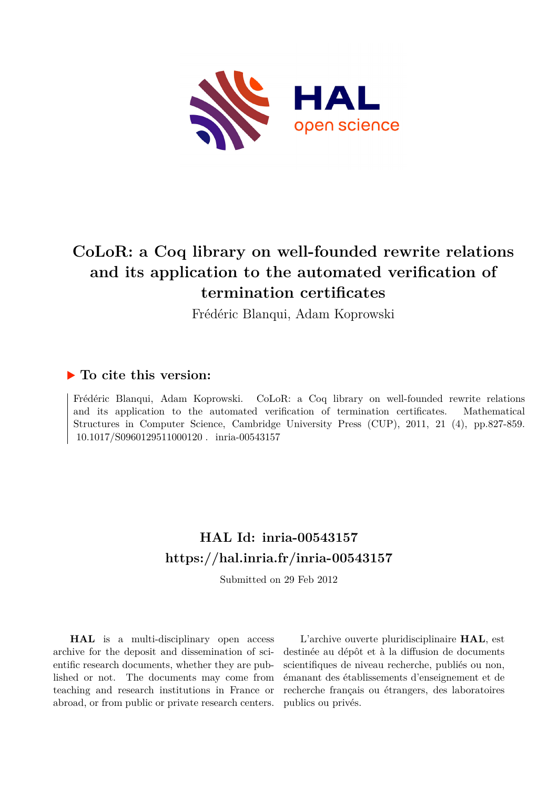

# **CoLoR: a Coq library on well-founded rewrite relations and its application to the automated verification of termination certificates**

Frédéric Blanqui, Adam Koprowski

# **To cite this version:**

Frédéric Blanqui, Adam Koprowski. CoLoR: a Coq library on well-founded rewrite relations and its application to the automated verification of termination certificates. Mathematical Structures in Computer Science, Cambridge University Press (CUP), 2011, 21 (4), pp.827-859. 10.1017/S0960129511000120. inria-00543157

# **HAL Id: inria-00543157 <https://hal.inria.fr/inria-00543157>**

Submitted on 29 Feb 2012

**HAL** is a multi-disciplinary open access archive for the deposit and dissemination of scientific research documents, whether they are published or not. The documents may come from teaching and research institutions in France or abroad, or from public or private research centers.

L'archive ouverte pluridisciplinaire **HAL**, est destinée au dépôt et à la diffusion de documents scientifiques de niveau recherche, publiés ou non, émanant des établissements d'enseignement et de recherche français ou étrangers, des laboratoires publics ou privés.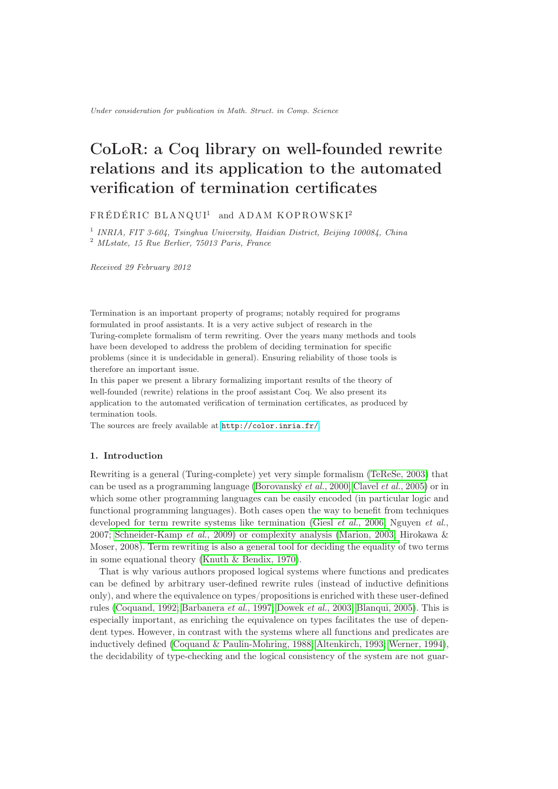# CoLoR: a Coq library on well-founded rewrite relations and its application to the automated verification of termination certificates

 $FRÉDÉRIC BLANQUI<sup>1</sup>$  and  $ADAM KOPROWSKI<sup>2</sup>$ 

<sup>1</sup> INRIA, FIT 3-604, Tsinghua University, Haidian District, Beijing 100084, China

<sup>2</sup> MLstate, 15 Rue Berlier, 75013 Paris, France

Received 29 February 2012

Termination is an important property of programs; notably required for programs formulated in proof assistants. It is a very active subject of research in the Turing-complete formalism of term rewriting. Over the years many methods and tools have been developed to address the problem of deciding termination for specific problems (since it is undecidable in general). Ensuring reliability of those tools is therefore an important issue.

In this paper we present a library formalizing important results of the theory of well-founded (rewrite) relations in the proof assistant Coq. We also present its application to the automated verification of termination certificates, as produced by termination tools.

The sources are freely available at <http://color.inria.fr/>.

# 1. Introduction

Rewriting is a general (Turing-complete) yet very simple formalism [\(TeReSe, 2003\)](#page-30-0) that can be used as a programming language [\(Borovanský](#page-28-0) *et al.*, 2000; [Clavel](#page-28-1) *et al.*, 2005) or in which some other programming languages can be easily encoded (in particular logic and functional programming languages). Both cases open the way to benefit from techniques developed for term rewrite systems like termination (Giesl *et al.*[, 2006;](#page-29-0) Nguyen *et al.*, 2007; [Schneider-Kamp](#page-30-1) *et al.*, 2009) or complexity analysis [\(Marion, 2003;](#page-30-2) Hirokawa & Moser, 2008). Term rewriting is also a general tool for deciding the equality of two terms in some equational theory [\(Knuth & Bendix, 1970\)](#page-29-1).

That is why various authors proposed logical systems where functions and predicates can be defined by arbitrary user-defined rewrite rules (instead of inductive definitions only), and where the equivalence on types/propositions is enriched with these user-defined rules [\(Coquand, 1992;](#page-28-2) [Barbanera](#page-27-0) *et al.*, 1997; [Dowek](#page-28-3) *et al.*, 2003; [Blanqui, 2005\)](#page-27-1). This is especially important, as enriching the equivalence on types facilitates the use of dependent types. However, in contrast with the systems where all functions and predicates are inductively defined [\(Coquand & Paulin-Mohring, 1988;](#page-28-4) [Altenkirch, 1993;](#page-27-2) [Werner, 1994\)](#page-30-3), the decidability of type-checking and the logical consistency of the system are not guar-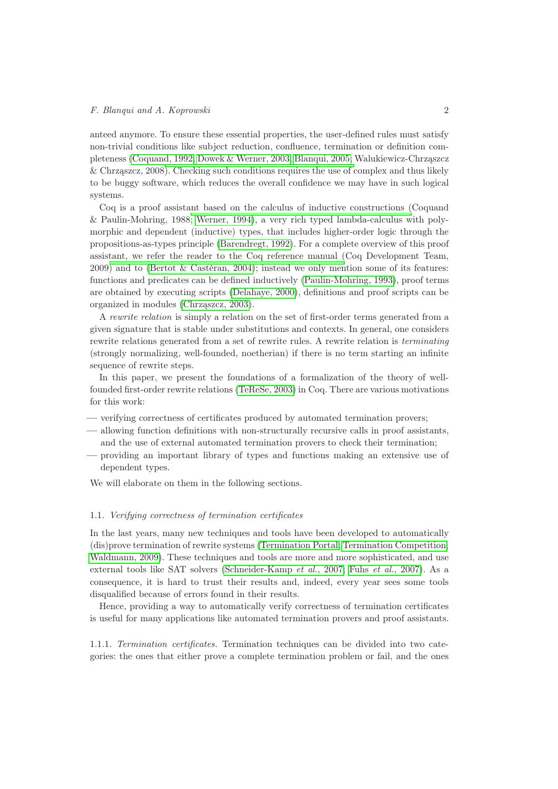anteed anymore. To ensure these essential properties, the user-defined rules must satisfy non-trivial conditions like subject reduction, confluence, termination or definition completeness [\(Coquand, 1992;](#page-28-2) [Dowek & Werner, 2003;](#page-28-5) [Blanqui, 2005;](#page-27-1) Walukiewicz-Chrząszcz & Chrząszcz, 2008[\). Checking such conditions requires the use of c](#page-30-4)omplex and thus likely to be buggy software, which reduces the overall confidence we may have in such logical systems.

Coq is a proof assistant based on the calculus of inductive constructions (Coquand & Paulin-Mohring, 1988[;](#page-28-4) [Werner, 1994\)](#page-30-3)[, a very rich typed lambda-calculus w](#page-28-4)ith polymorphic and dependent (inductive) types, that includes higher-order logic through the propositions-as-types principle [\(Barendregt, 1992\)](#page-27-3). For a complete overview of this proof assistant, we refer the reader to the Coq reference manual (Coq Development Team, 2009[\) and to](#page-28-6) [\(Bertot & Castéran, 2004\)](#page-27-4)[; instead we only men](#page-28-6)tion some of its features: functions and predicates can be defined inductively [\(Paulin-Mohring, 1993\)](#page-30-5), proof terms are obtained by executing scripts [\(Delahaye, 2000\)](#page-28-7), definitions and proof scripts can be organized in modules [\(Chrząszcz, 2003\)](#page-28-8).

A *rewrite relation* is simply a relation on the set of first-order terms generated from a given signature that is stable under substitutions and contexts. In general, one considers rewrite relations generated from a set of rewrite rules. A rewrite relation is *terminating* (strongly normalizing, well-founded, noetherian) if there is no term starting an infinite sequence of rewrite steps.

In this paper, we present the foundations of a formalization of the theory of wellfounded first-order rewrite relations [\(TeReSe, 2003\)](#page-30-0) in Coq. There are various motivations for this work:

- verifying correctness of certificates produced by automated termination provers;
- allowing function definitions with non-structurally recursive calls in proof assistants, and the use of external automated termination provers to check their termination;
- providing an important library of types and functions making an extensive use of dependent types.

We will elaborate on them in the following sections.

#### 1.1. *Verifying correctness of termination certificates*

In the last years, many new techniques and tools have been developed to automatically (dis)prove termination of rewrite systems [\(Termination Portal;](#page-30-6) [Termination Competition;](#page-30-7) [Waldmann, 2009\)](#page-30-8). These techniques and tools are more and more sophisticated, and use external tools like SAT solvers [\(Schneider-Kamp](#page-30-9) *et al.*, 2007; Fuhs *et al.*[, 2007\)](#page-28-9). As a consequence, it is hard to trust their results and, indeed, every year sees some tools disqualified because of errors found in their results.

Hence, providing a way to automatically verify correctness of termination certificates is useful for many applications like automated termination provers and proof assistants.

1.1.1. *Termination certificates.* Termination techniques can be divided into two categories: the ones that either prove a complete termination problem or fail, and the ones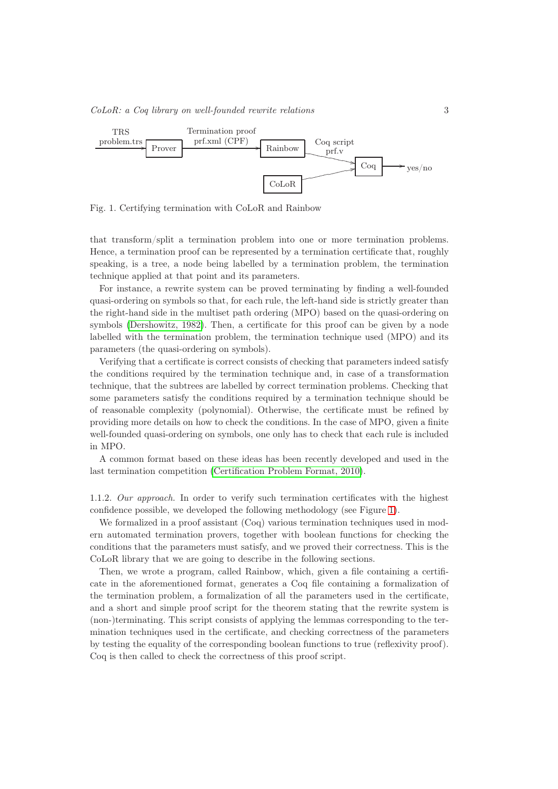

<span id="page-3-0"></span>Fig. 1. Certifying termination with CoLoR and Rainbow

that transform/split a termination problem into one or more termination problems. Hence, a termination proof can be represented by a termination certificate that, roughly speaking, is a tree, a node being labelled by a termination problem, the termination technique applied at that point and its parameters.

For instance, a rewrite system can be proved terminating by finding a well-founded quasi-ordering on symbols so that, for each rule, the left-hand side is strictly greater than the right-hand side in the multiset path ordering (MPO) based on the quasi-ordering on symbols [\(Dershowitz, 1982\)](#page-28-10). Then, a certificate for this proof can be given by a node labelled with the termination problem, the termination technique used (MPO) and its parameters (the quasi-ordering on symbols).

Verifying that a certificate is correct consists of checking that parameters indeed satisfy the conditions required by the termination technique and, in case of a transformation technique, that the subtrees are labelled by correct termination problems. Checking that some parameters satisfy the conditions required by a termination technique should be of reasonable complexity (polynomial). Otherwise, the certificate must be refined by providing more details on how to check the conditions. In the case of MPO, given a finite well-founded quasi-ordering on symbols, one only has to check that each rule is included in MPO.

A common format based on these ideas has been recently developed and used in the last termination competition [\(Certification Problem Format, 2010\)](#page-28-11).

1.1.2. *Our approach.* In order to verify such termination certificates with the highest confidence possible, we developed the following methodology (see Figure [1\)](#page-3-0).

We formalized in a proof assistant (Coq) various termination techniques used in modern automated termination provers, together with boolean functions for checking the conditions that the parameters must satisfy, and we proved their correctness. This is the CoLoR library that we are going to describe in the following sections.

Then, we wrote a program, called Rainbow, which, given a file containing a certificate in the aforementioned format, generates a Coq file containing a formalization of the termination problem, a formalization of all the parameters used in the certificate, and a short and simple proof script for the theorem stating that the rewrite system is (non-)terminating. This script consists of applying the lemmas corresponding to the termination techniques used in the certificate, and checking correctness of the parameters by testing the equality of the corresponding boolean functions to true (reflexivity proof). Coq is then called to check the correctness of this proof script.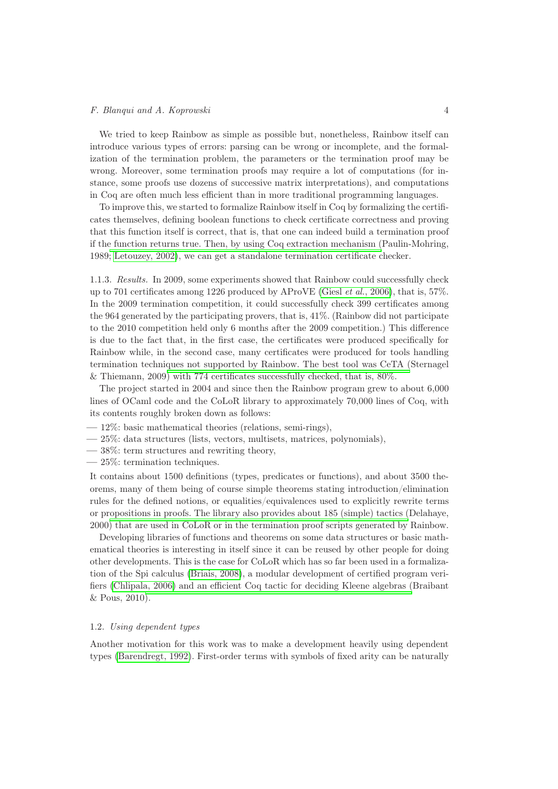We tried to keep Rainbow as simple as possible but, nonetheless, Rainbow itself can introduce various types of errors: parsing can be wrong or incomplete, and the formalization of the termination problem, the parameters or the termination proof may be wrong. Moreover, some termination proofs may require a lot of computations (for instance, some proofs use dozens of successive matrix interpretations), and computations in Coq are often much less efficient than in more traditional programming languages.

To improve this, we started to formalize Rainbow itself in Coq by formalizing the certificates themselves, defining boolean functions to check certificate correctness and proving that this function itself is correct, that is, that one can indeed build a termination proof if the function returns true. Then, by using Coq extraction mechanism (Paulin-Mohring, 1989[;](#page-30-10) [Letouzey, 2002\)](#page-30-11)[, we can get a standalone termination certificate c](#page-30-10)hecker.

1.1.3. *Results.* In 2009, some experiments showed that Rainbow could successfully check up to 701 certificates among 1226 produced by AProVE (Giesl *et al.*[, 2006\)](#page-29-2), that is, 57%. In the 2009 termination competition, it could successfully check 399 certificates among the 964 generated by the participating provers, that is, 41%. (Rainbow did not participate to the 2010 competition held only 6 months after the 2009 competition.) This difference is due to the fact that, in the first case, the certificates were produced specifically for Rainbow while, in the second case, many certificates were produced for tools handling termination techniques not supported by Rainbow. The best tool was CeTA (Sternagel & Thiemann, 2009) with 774 certificates successfully checked, that is, 80%.

The project started in 2004 and since then the Rainbow program grew to about 6,000 lines of OCaml code and the CoLoR library to approximately 70,000 lines of Coq, with its contents roughly broken down as follows:

- 12%: basic mathematical theories (relations, semi-rings),
- 25%: data structures (lists, vectors, multisets, matrices, polynomials),
- 38%: term structures and rewriting theory,
- 25%: termination techniques.

It contains about 1500 definitions (types, predicates or functions), and about 3500 theorems, many of them being of course simple theorems stating introduction/elimination rules for the defined notions, or equalities/equivalences used to explicitly rewrite terms or propositions in proofs. The library also provides about 185 (simple) tactics (Delahaye, 2000) that are used in CoLoR or in the termination proof scripts generated by Rainbow.

Developing libraries of functions and theorems on some data structures or basic mathematical theories is interesting in itself since it can be reused by other people for doing other developments. This is the case for CoLoR which has so far been used in a formalization of the Spi calculus [\(Briais, 2008\)](#page-28-12), a modular development of certified program verifiers [\(Chlipala, 2006\)](#page-28-13) and an efficient Coq tactic for deciding Kleene algebras (Braibant & Pous, 2010[\).](#page-28-14)

# 1.2. *Using dependent types*

Another motivation for this work was to make a development heavily using dependent types [\(Barendregt, 1992\)](#page-27-3). First-order terms with symbols of fixed arity can be naturally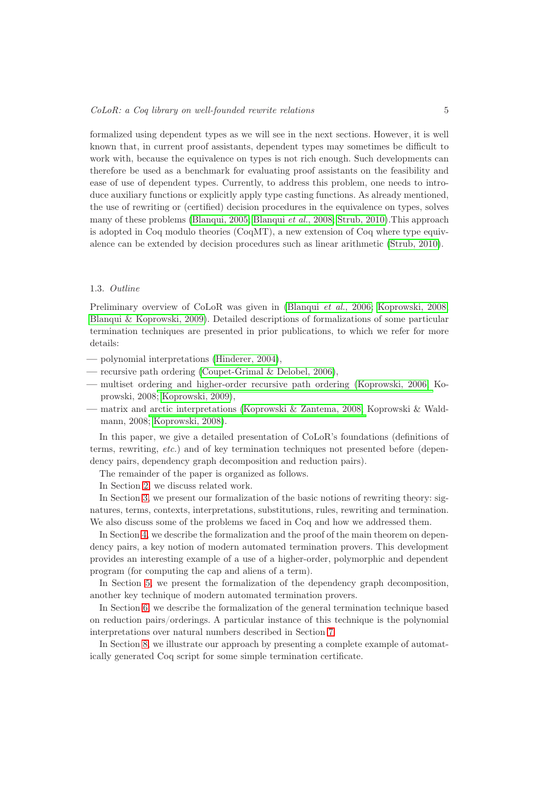formalized using dependent types as we will see in the next sections. However, it is well known that, in current proof assistants, dependent types may sometimes be difficult to work with, because the equivalence on types is not rich enough. Such developments can therefore be used as a benchmark for evaluating proof assistants on the feasibility and ease of use of dependent types. Currently, to address this problem, one needs to introduce auxiliary functions or explicitly apply type casting functions. As already mentioned, the use of rewriting or (certified) decision procedures in the equivalence on types, solves many of these problems [\(Blanqui, 2005;](#page-27-1) [Blanqui](#page-28-15) *et al.*, 2008; [Strub, 2010\)](#page-30-12).This approach is adopted in Coq modulo theories (CoqMT), a new extension of Coq where type equivalence can be extended by decision procedures such as linear arithmetic [\(Strub, 2010\)](#page-30-13).

#### 1.3. *Outline*

Preliminary overview of CoLoR was given in [\(Blanqui](#page-28-16) *et al.*, 2006; [Koprowski, 2008;](#page-29-3) [Blanqui & Koprowski, 2009\)](#page-27-5). Detailed descriptions of formalizations of some particular termination techniques are presented in prior publications, to which we refer for more details:

- polynomial interpretations [\(Hinderer, 2004\)](#page-29-4),
- recursive path ordering [\(Coupet-Grimal & Delobel, 2006\)](#page-28-17),
- multiset ordering and higher-order recursive path ordering [\(Koprowski, 2006;](#page-29-5) Koprowski, 2008[;](#page-29-3) [Koprowski, 2009\)](#page-29-6)[,](#page-29-3)
- matrix and arctic interpretations [\(Koprowski & Zantema, 2008;](#page-29-7) Koprowski & Waldmann, 2008[;](#page-29-8) [Koprowski, 2008\)](#page-29-3)[.](#page-29-8)

In this paper, we give a detailed presentation of CoLoR's foundations (definitions of terms, rewriting, *etc.*) and of key termination techniques not presented before (dependency pairs, dependency graph decomposition and reduction pairs).

The remainder of the paper is organized as follows.

In Section [2,](#page-6-0) we discuss related work.

In Section [3,](#page-8-0) we present our formalization of the basic notions of rewriting theory: signatures, terms, contexts, interpretations, substitutions, rules, rewriting and termination. We also discuss some of the problems we faced in Coq and how we addressed them.

In Section [4,](#page-15-0) we describe the formalization and the proof of the main theorem on dependency pairs, a key notion of modern automated termination provers. This development provides an interesting example of a use of a higher-order, polymorphic and dependent program (for computing the cap and aliens of a term).

In Section [5,](#page-17-0) we present the formalization of the dependency graph decomposition, another key technique of modern automated termination provers.

In Section [6,](#page-19-0) we describe the formalization of the general termination technique based on reduction pairs/orderings. A particular instance of this technique is the polynomial interpretations over natural numbers described in Section [7.](#page-21-0)

In Section [8,](#page-23-0) we illustrate our approach by presenting a complete example of automatically generated Coq script for some simple termination certificate.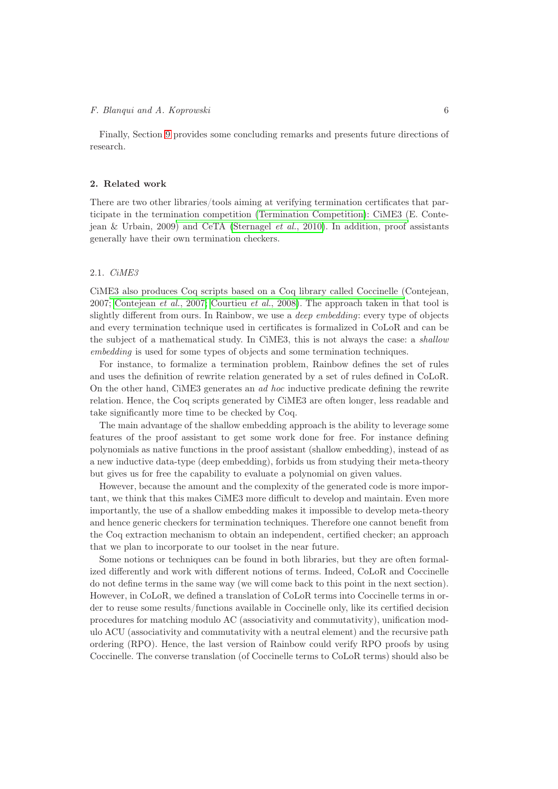Finally, Section [9](#page-26-0) provides some concluding remarks and presents future directions of research.

#### <span id="page-6-0"></span>2. Related work

There are two other libraries/tools aiming at verifying termination certificates that participate in the termination competition [\(Termination Competition\)](#page-30-7): CiME3 (E. Contejean & Urbain, 2009) and CeTA [\(Sternagel](#page-30-14) *et al.*, 2010). In addition, proof assistants generally have their own termination checkers.

# 2.1. *CiME3*

CiME3 also produces Coq scripts based on a Coq library called Coccinelle (Contejean, 2007; [Contejean](#page-28-18) *et al.*, 2007; [Courtieu](#page-28-19) *et al.*, 2008). The approach taken in that tool is slightly different from ours. In Rainbow, we use a *deep embedding*: every type of objects and every termination technique used in certificates is formalized in CoLoR and can be the subject of a mathematical study. In CiME3, this is not always the case: a *shallow embedding* is used for some types of objects and some termination techniques.

For instance, to formalize a termination problem, Rainbow defines the set of rules and uses the definition of rewrite relation generated by a set of rules defined in CoLoR. On the other hand, CiME3 generates an *ad hoc* inductive predicate defining the rewrite relation. Hence, the Coq scripts generated by CiME3 are often longer, less readable and take significantly more time to be checked by Coq.

The main advantage of the shallow embedding approach is the ability to leverage some features of the proof assistant to get some work done for free. For instance defining polynomials as native functions in the proof assistant (shallow embedding), instead of as a new inductive data-type (deep embedding), forbids us from studying their meta-theory but gives us for free the capability to evaluate a polynomial on given values.

However, because the amount and the complexity of the generated code is more important, we think that this makes CiME3 more difficult to develop and maintain. Even more importantly, the use of a shallow embedding makes it impossible to develop meta-theory and hence generic checkers for termination techniques. Therefore one cannot benefit from the Coq extraction mechanism to obtain an independent, certified checker; an approach that we plan to incorporate to our toolset in the near future.

Some notions or techniques can be found in both libraries, but they are often formalized differently and work with different notions of terms. Indeed, CoLoR and Coccinelle do not define terms in the same way (we will come back to this point in the next section). However, in CoLoR, we defined a translation of CoLoR terms into Coccinelle terms in order to reuse some results/functions available in Coccinelle only, like its certified decision procedures for matching modulo AC (associativity and commutativity), unification modulo ACU (associativity and commutativity with a neutral element) and the recursive path ordering (RPO). Hence, the last version of Rainbow could verify RPO proofs by using Coccinelle. The converse translation (of Coccinelle terms to CoLoR terms) should also be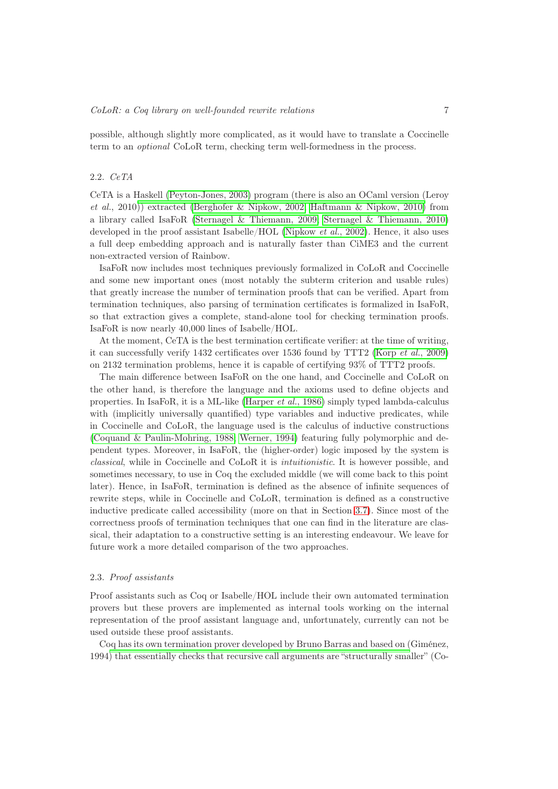possible, although slightly more complicated, as it would have to translate a Coccinelle term to an *optional* CoLoR term, checking term well-formedness in the process.

### 2.2. *CeTA*

CeTA is a Haskell [\(Peyton-Jones, 2003\)](#page-30-15) program (there is also an OCaml version (Leroy *et al.*, 2010[\)\) extracted](#page-30-16) [\(Berghofer & Nipkow, 2002;](#page-27-6) [Haftmann & Nipkow, 2010\)](#page-29-9) from a library called IsaFoR [\(Sternagel & Thiemann, 2009;](#page-30-17) [Sternagel & Thiemann, 2010\)](#page-30-18) developed in the proof assistant Isabelle/HOL [\(Nipkow](#page-30-19) *et al.*, 2002). Hence, it also uses a full deep embedding approach and is naturally faster than CiME3 and the current non-extracted version of Rainbow.

IsaFoR now includes most techniques previously formalized in CoLoR and Coccinelle and some new important ones (most notably the subterm criterion and usable rules) that greatly increase the number of termination proofs that can be verified. Apart from termination techniques, also parsing of termination certificates is formalized in IsaFoR, so that extraction gives a complete, stand-alone tool for checking termination proofs. IsaFoR is now nearly 40,000 lines of Isabelle/HOL.

At the moment, CeTA is the best termination certificate verifier: at the time of writing, it can successfully verify 1432 certificates over 1536 found by TTT2 (Korp *et al.*[, 2009\)](#page-29-10) on 2132 termination problems, hence it is capable of certifying 93% of TTT2 proofs.

The main difference between IsaFoR on the one hand, and Coccinelle and CoLoR on the other hand, is therefore the language and the axioms used to define objects and properties. In IsaFoR, it is a ML-like [\(Harper](#page-29-11) *et al.*, 1986) simply typed lambda-calculus with (implicitly universally quantified) type variables and inductive predicates, while in Coccinelle and CoLoR, the language used is the calculus of inductive constructions [\(Coquand & Paulin-Mohring, 1988;](#page-28-4) [Werner, 1994\)](#page-30-3) featuring fully polymorphic and dependent types. Moreover, in IsaFoR, the (higher-order) logic imposed by the system is *classical*, while in Coccinelle and CoLoR it is *intuitionistic*. It is however possible, and sometimes necessary, to use in Coq the excluded middle (we will come back to this point later). Hence, in IsaFoR, termination is defined as the absence of infinite sequences of rewrite steps, while in Coccinelle and CoLoR, termination is defined as a constructive inductive predicate called accessibility (more on that in Section [3.7\)](#page-14-0). Since most of the correctness proofs of termination techniques that one can find in the literature are classical, their adaptation to a constructive setting is an interesting endeavour. We leave for future work a more detailed comparison of the two approaches.

### 2.3. *Proof assistants*

Proof assistants such as Coq or Isabelle/HOL include their own automated termination provers but these provers are implemented as internal tools working on the internal representation of the proof assistant language and, unfortunately, currently can not be used outside these proof assistants.

Coq has its own termination prover developed by Bruno Barras and based on (Giménez, 1994) that essentially checks that recursive call arguments are "structurally smaller" (Co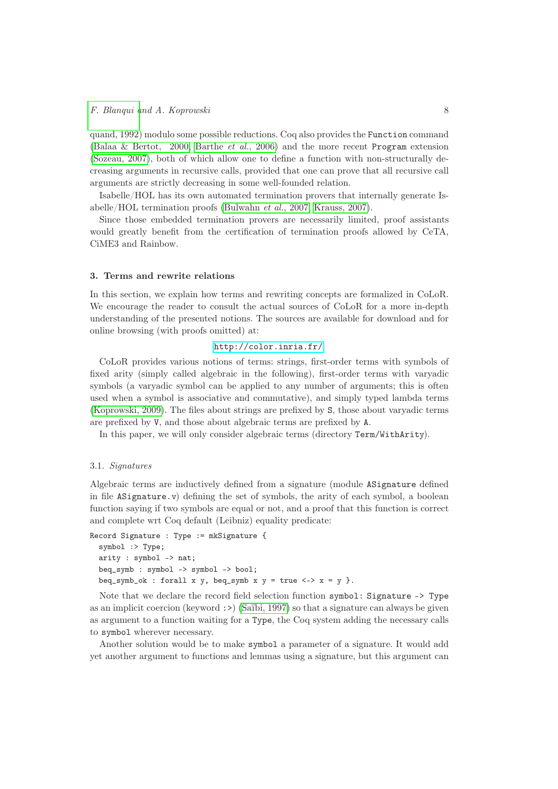quand, 1992) modulo some possible reductions. Coq also provides the Function command [\(Balaa & Bertot, 2000;](#page-27-7) [Barthe](#page-27-8) *et al.*, 2006) and the more recent Program extension [\(Sozeau, 2007\)](#page-30-20), both of which allow one to define a function with non-structurally decreasing arguments in recursive calls, provided that one can prove that all recursive call arguments are strictly decreasing in some well-founded relation.

Isabelle/HOL has its own automated termination provers that internally generate Isabelle/HOL termination proofs [\(Bulwahn](#page-28-20) *et al.*, 2007; [Krauss, 2007\)](#page-29-12).

Since those embedded termination provers are necessarily limited, proof assistants would greatly benefit from the certification of termination proofs allowed by CeTA, CiME3 and Rainbow.

# <span id="page-8-0"></span>3. Terms and rewrite relations

In this section, we explain how terms and rewriting concepts are formalized in CoLoR. We encourage the reader to consult the actual sources of CoLoR for a more in-depth understanding of the presented notions. The sources are available for download and for online browsing (with proofs omitted) at:

# <http://color.inria.fr/>.

CoLoR provides various notions of terms: strings, first-order terms with symbols of fixed arity (simply called algebraic in the following), first-order terms with varyadic symbols (a varyadic symbol can be applied to any number of arguments; this is often used when a symbol is associative and commutative), and simply typed lambda terms [\(Koprowski, 2009\)](#page-29-6). The files about strings are prefixed by S, those about varyadic terms are prefixed by V, and those about algebraic terms are prefixed by A.

In this paper, we will only consider algebraic terms (directory Term/WithArity).

### 3.1. *Signatures*

Algebraic terms are inductively defined from a signature (module ASignature defined in file ASignature.v) defining the set of symbols, the arity of each symbol, a boolean function saying if two symbols are equal or not, and a proof that this function is correct and complete wrt Coq default (Leibniz) equality predicate:

```
Record Signature : Type := mkSignature {
  symbol :> Type;
  arity : symbol -> nat;
  beq_symb : symbol -> symbol -> bool;
 beq_symb_ok : forall x y, beq_symb x y = true \iff x = y }.
```
Note that we declare the record field selection function symbol: Signature -> Type as an implicit coercion (keyword :  $\geq$ ) [\(Saïbi, 1997\)](#page-30-21) so that a signature can always be given as argument to a function waiting for a Type, the Coq system adding the necessary calls to symbol wherever necessary.

Another solution would be to make symbol a parameter of a signature. It would add yet another argument to functions and lemmas using a signature, but this argument can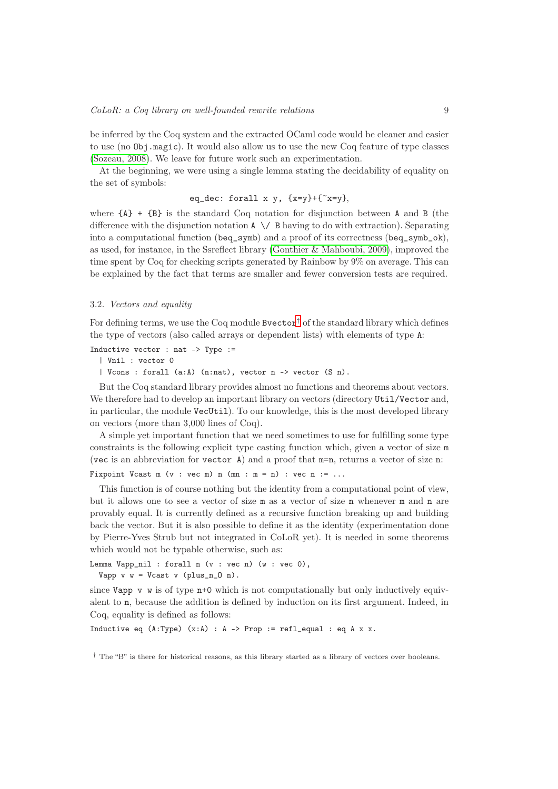be inferred by the Coq system and the extracted OCaml code would be cleaner and easier to use (no Obj.magic). It would also allow us to use the new Coq feature of type classes [\(Sozeau, 2008\)](#page-30-22). We leave for future work such an experimentation.

At the beginning, we were using a single lemma stating the decidability of equality on the set of symbols:

eq\_dec: forall x y,  $\{x=y\}+\{x=y\}$ ,

where  ${A}$  +  ${B}$  is the standard Coq notation for disjunction between A and B (the difference with the disjunction notation  $A \setminus B$  having to do with extraction). Separating into a computational function (beq\_symb) and a proof of its correctness (beq\_symb\_ok), as used, for instance, in the Ssreflect library [\(Gonthier & Mahboubi, 2009\)](#page-29-13), improved the time spent by Coq for checking scripts generated by Rainbow by 9% on average. This can be explained by the fact that terms are smaller and fewer conversion tests are required.

# 3.2. *Vectors and equality*

For defining terms, we use the Coq module Bvector<sup>[†](#page-9-0)</sup> of the standard library which defines the type of vectors (also called arrays or dependent lists) with elements of type A:

Inductive vector : nat  $\rightarrow$  Type :=

| Vnil : vector 0

| Vcons : forall (a:A) (n:nat), vector n -> vector (S n).

But the Coq standard library provides almost no functions and theorems about vectors. We therefore had to develop an important library on vectors (directory Util/Vector and, in particular, the module VecUtil). To our knowledge, this is the most developed library on vectors (more than 3,000 lines of Coq).

A simple yet important function that we need sometimes to use for fulfilling some type constraints is the following explicit type casting function which, given a vector of size m (vec is an abbreviation for vector A) and a proof that m=n, returns a vector of size n:

Fixpoint Vcast m  $(v : vec m) n (mn : m = n) : vec n := ...$ 

This function is of course nothing but the identity from a computational point of view, but it allows one to see a vector of size m as a vector of size n whenever m and n are provably equal. It is currently defined as a recursive function breaking up and building back the vector. But it is also possible to define it as the identity (experimentation done by Pierre-Yves Strub but not integrated in CoLoR yet). It is needed in some theorems which would not be typable otherwise, such as:

```
Lemma Vapp_nil : forall n (v : vec n) (w : vec 0),
 Vapp v w = Vcast v (plus_n_0 n).
```
since Vapp  $\bf{v}$  w is of type  $\bf{n}$ +0 which is not computationally but only inductively equivalent to n, because the addition is defined by induction on its first argument. Indeed, in Coq, equality is defined as follows:

Inductive eq  $(A:Type)$   $(x:A) : A \rightarrow Prop := ref1\_equal : eq A x x$ .

<span id="page-9-0"></span>† The "B" is there for historical reasons, as this library started as a library of vectors over booleans.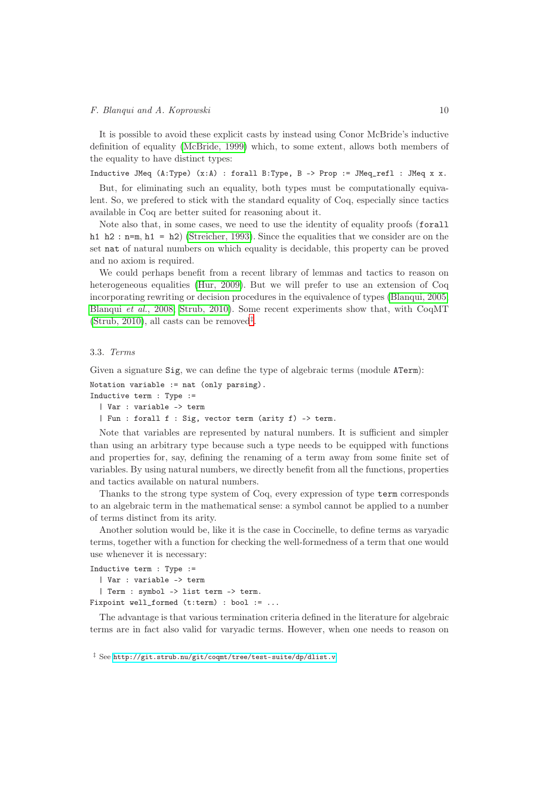It is possible to avoid these explicit casts by instead using Conor McBride's inductive definition of equality [\(McBride, 1999\)](#page-30-23) which, to some extent, allows both members of the equality to have distinct types:

Inductive JMeq  $(A:Type)$   $(x:A)$  : forall B:Type, B -> Prop := JMeq\_refl : JMeq x x.

But, for eliminating such an equality, both types must be computationally equivalent. So, we prefered to stick with the standard equality of Coq, especially since tactics available in Coq are better suited for reasoning about it.

Note also that, in some cases, we need to use the identity of equality proofs (forall h1 h2 : n=m, h1 = h2) [\(Streicher, 1993\)](#page-30-24). Since the equalities that we consider are on the set nat of natural numbers on which equality is decidable, this property can be proved and no axiom is required.

We could perhaps benefit from a recent library of lemmas and tactics to reason on heterogeneous equalities [\(Hur, 2009\)](#page-29-14). But we will prefer to use an extension of Coq incorporating rewriting or decision procedures in the equivalence of types [\(Blanqui, 2005;](#page-27-1) [Blanqui](#page-28-15) *et al.*, 2008; [Strub, 2010\)](#page-30-12). Some recent experiments show that, with CoqMT  $(Strub, 2010)$ , all casts can be removed<sup> $\ddagger$ </sup>.

#### 3.3. *Terms*

Given a signature Sig, we can define the type of algebraic terms (module ATerm):

```
Notation variable := nat (only parsing).
Inductive term : Type :=
 | Var : variable -> term
  | Fun : forall f : Sig, vector term (arity f) -> term.
```
Note that variables are represented by natural numbers. It is sufficient and simpler than using an arbitrary type because such a type needs to be equipped with functions and properties for, say, defining the renaming of a term away from some finite set of variables. By using natural numbers, we directly benefit from all the functions, properties and tactics available on natural numbers.

Thanks to the strong type system of Coq, every expression of type term corresponds to an algebraic term in the mathematical sense: a symbol cannot be applied to a number of terms distinct from its arity.

Another solution would be, like it is the case in Coccinelle, to define terms as varyadic terms, together with a function for checking the well-formedness of a term that one would use whenever it is necessary:

```
Inductive term : Type :=
  | Var : variable -> term
  | Term : symbol -> list term -> term.
Fixpoint well formed (t:term) : bool := ...
```
The advantage is that various termination criteria defined in the literature for algebraic terms are in fact also valid for varyadic terms. However, when one needs to reason on

<span id="page-10-0"></span>‡ See <http://git.strub.nu/git/coqmt/tree/test-suite/dp/dlist.v>.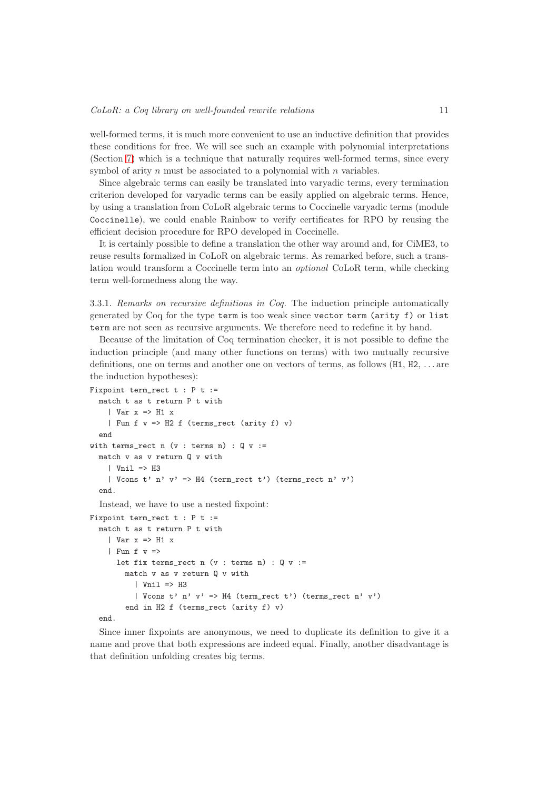well-formed terms, it is much more convenient to use an inductive definition that provides these conditions for free. We will see such an example with polynomial interpretations (Section [7\)](#page-21-0) which is a technique that naturally requires well-formed terms, since every symbol of arity  $n$  must be associated to a polynomial with  $n$  variables.

Since algebraic terms can easily be translated into varyadic terms, every termination criterion developed for varyadic terms can be easily applied on algebraic terms. Hence, by using a translation from CoLoR algebraic terms to Coccinelle varyadic terms (module Coccinelle), we could enable Rainbow to verify certificates for RPO by reusing the efficient decision procedure for RPO developed in Coccinelle.

It is certainly possible to define a translation the other way around and, for CiME3, to reuse results formalized in CoLoR on algebraic terms. As remarked before, such a translation would transform a Coccinelle term into an *optional* CoLoR term, while checking term well-formedness along the way.

3.3.1. *Remarks on recursive definitions in Coq.* The induction principle automatically generated by Coq for the type term is too weak since vector term (arity f) or list term are not seen as recursive arguments. We therefore need to redefine it by hand.

Because of the limitation of Coq termination checker, it is not possible to define the induction principle (and many other functions on terms) with two mutually recursive definitions, one on terms and another one on vectors of terms, as follows (H1, H2, . . . are the induction hypotheses):

```
Fixpoint term_rect t : P t :=
 match t as t return P t with
    | Var x => H1 x
    | Fun f v \Rightarrow H2 f (terms_rect (arity f) v)
  end
with terms_rect n (v : terms n) : Q v :=match v as v return Q v with
    | Vnil \Rightarrow H3
    | Vcons t' n' v' => H4 (term rect t') (terms rect n' v')
  end.
  Instead, we have to use a nested fixpoint:
```

```
Fixpoint term_rect t : P t :=
 match t as t return P t with
    | Var x => H1 x| Fun f v =let fix terms_rect n (v : terms n) : Q v :=match v as v return Q v with
          | Vnil \Rightarrow H3
          | Vcons t' n' v' => H4 (term_rect t') (terms_rect n' v')
        end in H2 f (terms_rect (arity f) v)
```
end.

Since inner fixpoints are anonymous, we need to duplicate its definition to give it a name and prove that both expressions are indeed equal. Finally, another disadvantage is that definition unfolding creates big terms.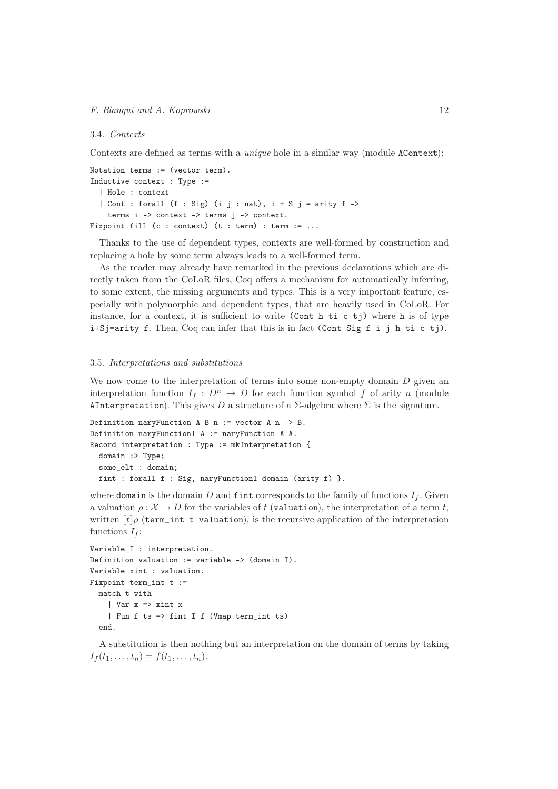#### 3.4. *Contexts*

Contexts are defined as terms with a *unique* hole in a similar way (module AContext):

```
Notation terms := (vector term).
Inductive context : Type :=
  | Hole : context
  | Cont : forall (f : Sig) (i j : nat), i + S j = arity f ->
    terms i -> context -> terms j -> context.
Fixpoint fill (c : context) (t : term) : term := ...
```
Thanks to the use of dependent types, contexts are well-formed by construction and replacing a hole by some term always leads to a well-formed term.

As the reader may already have remarked in the previous declarations which are directly taken from the CoLoR files, Coq offers a mechanism for automatically inferring, to some extent, the missing arguments and types. This is a very important feature, especially with polymorphic and dependent types, that are heavily used in CoLoR. For instance, for a context, it is sufficient to write (Cont h ti c tj) where h is of type i+Sj=arity f. Then, Coq can infer that this is in fact (Cont Sig f i j h ti c tj).

#### <span id="page-12-0"></span>3.5. *Interpretations and substitutions*

We now come to the interpretation of terms into some non-empty domain  $D$  given an interpretation function  $I_f: D^n \to D$  for each function symbol f of arity n (module AInterpretation). This gives D a structure of a  $\Sigma$ -algebra where  $\Sigma$  is the signature.

```
Definition naryFunction A B n := vector A n -> B.
Definition naryFunction1 A := naryFunction A A.
Record interpretation : Type := mkInterpretation {
 domain :> Type;
  some_elt : domain;
 fint : forall f : Sig, naryFunction1 domain (arity f) }.
```
where domain is the domain D and fint corresponds to the family of functions  $I_f$ . Given a valuation  $\rho : \mathcal{X} \to D$  for the variables of t (valuation), the interpretation of a term t, written  $\llbracket t \rrbracket \rho$  (term\_int t valuation), is the recursive application of the interpretation functions  $I_f$ :

```
Variable I : interpretation.
Definition valuation := variable -> (domain I).
Variable xint : valuation.
Fixpoint term_int t :=
 match t with
    | Var x => xint x
    | Fun f ts => fint I f (Vmap term_int ts)
  end.
```
A substitution is then nothing but an interpretation on the domain of terms by taking  $I_f(t_1,\ldots,t_n) = f(t_1,\ldots,t_n).$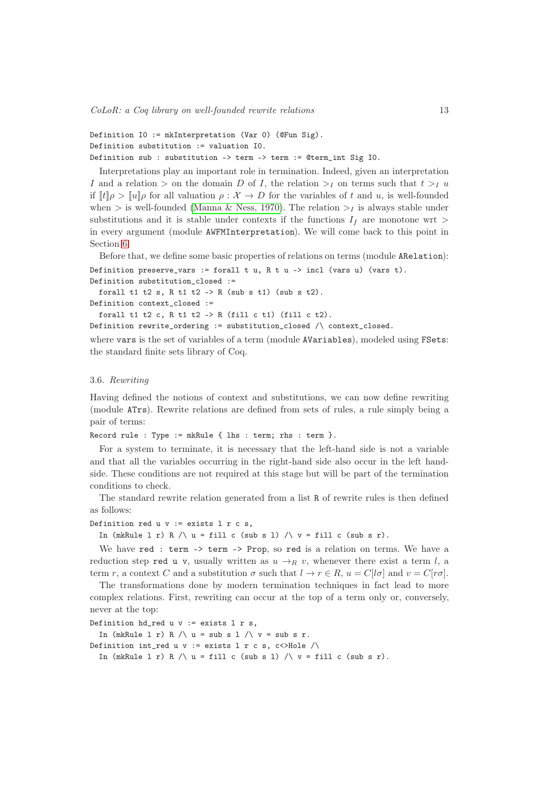*CoLoR: a Coq library on well-founded rewrite relations* 13

```
Definition I0 := mkInterpretation (Var 0) (@Fun Sig).
Definition substitution := valuation I0.
Definition sub : substitution -> term -> term := @term_int Sig I0.
```
Interpretations play an important role in termination. Indeed, given an interpretation I and a relation  $>$  on the domain D of I, the relation  $>$ <sub>I</sub> on terms such that  $t >_I u$ if  $[t]\rho > [u]\rho$  for all valuation  $\rho : \mathcal{X} \to D$  for the variables of t and u, is well-founded when  $>$  is well-founded [\(Manna & Ness, 1970\)](#page-30-25). The relation  $>$ <sub>I</sub> is always stable under substitutions and it is stable under contexts if the functions  $I_f$  are monotone wrt  $>$ in every argument (module AWFMInterpretation). We will come back to this point in Section [6.](#page-19-0)

Before that, we define some basic properties of relations on terms (module ARelation): Definition preserve\_vars := forall t u, R t u -> incl (vars u) (vars t). Definition substitution\_closed :=

```
forall t1 t2 s, R t1 t2 -> R (sub s t1) (sub s t2).
Definition context_closed :=
```
forall t1 t2 c, R t1 t2 -> R (fill c t1) (fill c t2). Definition rewrite\_ordering := substitution\_closed /\ context\_closed.

where vars is the set of variables of a term (module AVariables), modeled using FSets: the standard finite sets library of Coq.

#### 3.6. *Rewriting*

Having defined the notions of context and substitutions, we can now define rewriting (module ATrs). Rewrite relations are defined from sets of rules, a rule simply being a pair of terms:

Record rule : Type := mkRule { lhs : term; rhs : term }.

For a system to terminate, it is necessary that the left-hand side is not a variable and that all the variables occurring in the right-hand side also occur in the left handside. These conditions are not required at this stage but will be part of the termination conditions to check.

The standard rewrite relation generated from a list R of rewrite rules is then defined as follows:

```
Definition red u v := exists l r c s,
```
In (mkRule 1 r) R  $\wedge$  u = fill c (sub s 1)  $\wedge$  v = fill c (sub s r).

We have red : term -> term -> Prop, so red is a relation on terms. We have a reduction step red u v, usually written as  $u \rightarrow_R v$ , whenever there exist a term l, a term r, a context C and a substitution  $\sigma$  such that  $l \to r \in R$ ,  $u = C[l\sigma]$  and  $v = C[r\sigma]$ .

The transformations done by modern termination techniques in fact lead to more complex relations. First, rewriting can occur at the top of a term only or, conversely, never at the top:

```
Definition hd\_red u v := exists l r s,
```
In (mkRule  $l$  r) R  $\wedge$  u = sub s  $l$   $\wedge$  v = sub s r.

Definition int\_red u v := exists l r c s, c<>Hole /\

In (mkRule l r) R  $\wedge$  u = fill c (sub s l)  $\wedge$  v = fill c (sub s r).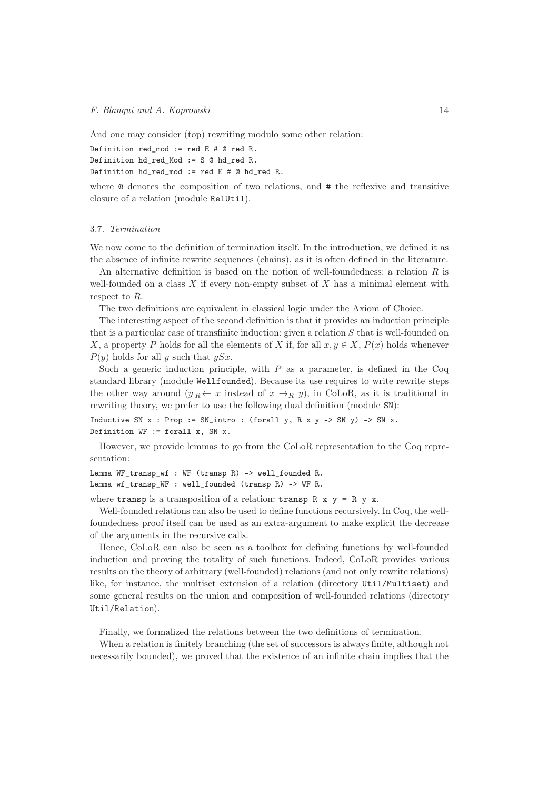And one may consider (top) rewriting modulo some other relation:

```
Definition red_mod := red E # @ red R.
Definition hd_red_Mod := S @ hd_red R.
Definition hd_red_mod := red E \# Q hd_red R.
```
where @ denotes the composition of two relations, and # the reflexive and transitive closure of a relation (module RelUtil).

# <span id="page-14-0"></span>3.7. *Termination*

We now come to the definition of termination itself. In the introduction, we defined it as the absence of infinite rewrite sequences (chains), as it is often defined in the literature.

An alternative definition is based on the notion of well-foundedness: a relation  $R$  is well-founded on a class  $X$  if every non-empty subset of  $X$  has a minimal element with respect to R.

The two definitions are equivalent in classical logic under the Axiom of Choice.

The interesting aspect of the second definition is that it provides an induction principle that is a particular case of transfinite induction: given a relation  $S$  that is well-founded on X, a property P holds for all the elements of X if, for all  $x, y \in X$ ,  $P(x)$  holds whenever  $P(y)$  holds for all y such that  $ySx$ .

Such a generic induction principle, with  $P$  as a parameter, is defined in the Coq standard library (module Wellfounded). Because its use requires to write rewrite steps the other way around  $(y_R \leftarrow x$  instead of  $x \rightarrow_R y$ , in CoLoR, as it is traditional in rewriting theory, we prefer to use the following dual definition (module SN):

Inductive SN  $x$  : Prop := SN\_intro : (forall  $y$ , R  $x$   $y$  -> SN  $y$ ) -> SN  $x$ . Definition  $WF :=$  forall x, SN x.

However, we provide lemmas to go from the CoLoR representation to the Coq representation:

Lemma WF\_transp\_wf : WF (transp R) -> well\_founded R. Lemma wf\_transp\_WF : well\_founded (transp R) -> WF R.

where transp is a transposition of a relation: transp  $R \times v = R v x$ .

Well-founded relations can also be used to define functions recursively. In Coq, the wellfoundedness proof itself can be used as an extra-argument to make explicit the decrease of the arguments in the recursive calls.

Hence, CoLoR can also be seen as a toolbox for defining functions by well-founded induction and proving the totality of such functions. Indeed, CoLoR provides various results on the theory of arbitrary (well-founded) relations (and not only rewrite relations) like, for instance, the multiset extension of a relation (directory Util/Multiset) and some general results on the union and composition of well-founded relations (directory Util/Relation).

Finally, we formalized the relations between the two definitions of termination.

When a relation is finitely branching (the set of successors is always finite, although not necessarily bounded), we proved that the existence of an infinite chain implies that the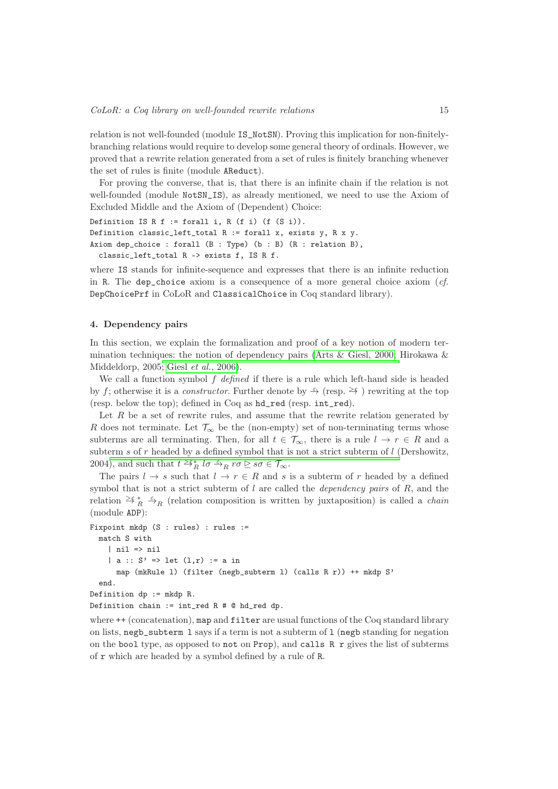relation is not well-founded (module IS\_NotSN). Proving this implication for non-finitelybranching relations would require to develop some general theory of ordinals. However, we proved that a rewrite relation generated from a set of rules is finitely branching whenever the set of rules is finite (module AReduct).

For proving the converse, that is, that there is an infinite chain if the relation is not well-founded (module NotSN\_IS), as already mentioned, we need to use the Axiom of Excluded Middle and the Axiom of (Dependent) Choice:

```
Definition IS R f := forall i, R (f i) (f (S i)).
Definition classic_left_total R := forall x, exists y, R \times y.
Axiom dep_choice : forall (B : Type) (b : B) (R : relation B),
  classic_left_total R -> exists f, IS R f.
```
where IS stands for infinite-sequence and expresses that there is an infinite reduction in R. The dep\_choice axiom is a consequence of a more general choice axiom (*cf.* DepChoicePrf in CoLoR and ClassicalChoice in Coq standard library).

# <span id="page-15-0"></span>4. Dependency pairs

In this section, we explain the formalization and proof of a key notion of modern ter-mination techniques: the notion of dependency pairs (Arts & [Giesl, 2000;](#page-27-9) Hirokawa & Middeldorp, 2005; Giesl *et al.*[, 2006\)](#page-29-15).

We call a function symbol f *defined* if there is a rule which left-hand side is headed by f; otherwise it is a *constructor*. Further denote by  $\xrightarrow{\varepsilon}$  (resp.  $\geq \xi$ ) rewriting at the top (resp. below the top); defined in Coq as hd\_red (resp. int\_red).

Let  $R$  be a set of rewrite rules, and assume that the rewrite relation generated by R does not terminate. Let  $\mathcal{T}_{\infty}$  be the (non-empty) set of non-terminating terms whose subterms are all terminating. Then, for all  $t \in \mathcal{T}_{\infty}$ , there is a rule  $l \to r \in R$  and a subterm s of r headed by a defined symbol that is not a strict subterm of  $l$  (Dershowitz, 2004[\), and such that](#page-28-21)  $t \geq \xi_R^*$   $l\sigma \stackrel{\varepsilon}{\rightarrow}_R r\sigma \geq s\sigma \in \mathcal{T}_{\infty}$ .

The pairs  $l \to s$  such that  $l \to r \in R$  and s is a subterm of r headed by a defined symbol that is not a strict subterm of l are called the *dependency pairs* of R, and the relation  $\geq \xi \frac{1}{R} \stackrel{\epsilon}{\to} R$  (relation composition is written by juxtaposition) is called a *chain* (module ADP):

```
Fixpoint mkdp (S : rules) : rules :=
 match S with
    | nil => nil
    | a :: S' \implies let (1, r) := a inmap (mkRule l) (filter (negb_subterm l) (calls R r)) ++ mkdp S'
  end.
Definition dp := mkdp R.
```

```
Definition chain := int_red R # @ hd_red dp.
```
where  $++$  (concatenation), map and filter are usual functions of the Coq standard library on lists, negb\_subterm l says if a term is not a subterm of l (negb standing for negation on the bool type, as opposed to not on Prop), and calls  $R$  r gives the list of subterms of r which are headed by a symbol defined by a rule of R.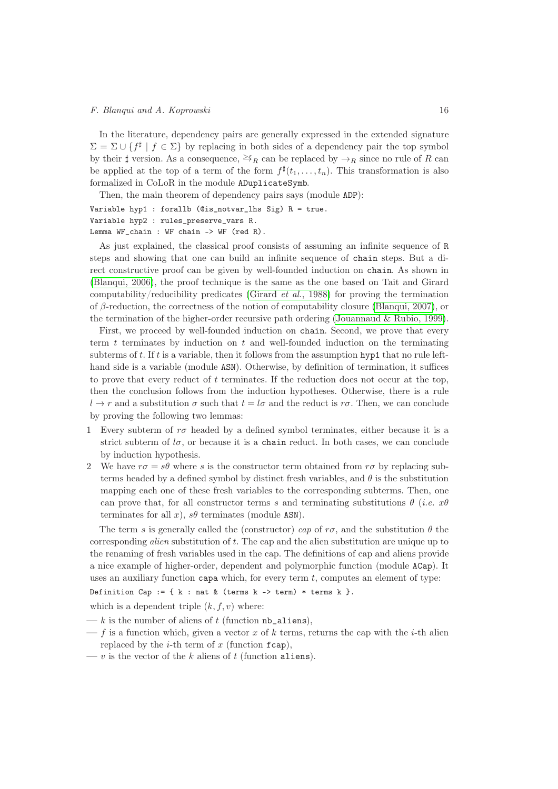In the literature, dependency pairs are generally expressed in the extended signature  $\Sigma = \Sigma \cup \{f^{\sharp} \mid f \in \Sigma\}$  by replacing in both sides of a dependency pair the top symbol by their  $\sharp$  version. As a consequence,  $\geq \xi_R$  can be replaced by  $\to_R$  since no rule of R can be applied at the top of a term of the form  $f^{\sharp}(t_1,\ldots,t_n)$ . This transformation is also formalized in CoLoR in the module ADuplicateSymb.

Then, the main theorem of dependency pairs says (module ADP):

Variable hyp1 : forallb (@is\_notvar\_lhs Sig) R = true. Variable hyp2 : rules\_preserve\_vars R. Lemma WF\_chain : WF chain -> WF (red R).

As just explained, the classical proof consists of assuming an infinite sequence of R steps and showing that one can build an infinite sequence of chain steps. But a direct constructive proof can be given by well-founded induction on chain. As shown in [\(Blanqui, 2006\)](#page-27-10), the proof technique is the same as the one based on Tait and Girard computability/reducibility predicates [\(Girard](#page-29-16) *et al.*, 1988) for proving the termination of  $\beta$ -reduction, the correctness of the notion of computability closure [\(Blanqui, 2007\)](#page-27-11), or the termination of the higher-order recursive path ordering [\(Jouannaud & Rubio, 1999\)](#page-29-17).

First, we proceed by well-founded induction on chain. Second, we prove that every term  $t$  terminates by induction on  $t$  and well-founded induction on the terminating subterms of t. If t is a variable, then it follows from the assumption hyp1 that no rule lefthand side is a variable (module ASN). Otherwise, by definition of termination, it suffices to prove that every reduct of  $t$  terminates. If the reduction does not occur at the top, then the conclusion follows from the induction hypotheses. Otherwise, there is a rule  $l \to r$  and a substitution  $\sigma$  such that  $t = l\sigma$  and the reduct is  $r\sigma$ . Then, we can conclude by proving the following two lemmas:

- 1 Every subterm of  $r\sigma$  headed by a defined symbol terminates, either because it is a strict subterm of  $l\sigma$ , or because it is a chain reduct. In both cases, we can conclude by induction hypothesis.
- 2 We have  $r\sigma = s\theta$  where s is the constructor term obtained from  $r\sigma$  by replacing subterms headed by a defined symbol by distinct fresh variables, and  $\theta$  is the substitution mapping each one of these fresh variables to the corresponding subterms. Then, one can prove that, for all constructor terms s and terminating substitutions  $\theta$  (*i.e.*  $x\theta$ terminates for all x),  $s\theta$  terminates (module ASN).

The term s is generally called the (constructor) *cap* of  $r\sigma$ , and the substitution  $\theta$  the corresponding *alien* substitution of t. The cap and the alien substitution are unique up to the renaming of fresh variables used in the cap. The definitions of cap and aliens provide a nice example of higher-order, dependent and polymorphic function (module ACap). It uses an auxiliary function capa which, for every term  $t$ , computes an element of type:

Definition Cap := { $k : nat & (terms k -> term) * terms k$  }.

which is a dependent triple  $(k, f, v)$  where:

- $-k$  is the number of aliens of t (function  $nb$ <sup>\_aliens</sup>),
- f is a function which, given a vector x of k terms, returns the cap with the i-th alien replaced by the  $i$ -th term of x (function fcap),
- v is the vector of the k aliens of t (function aliens).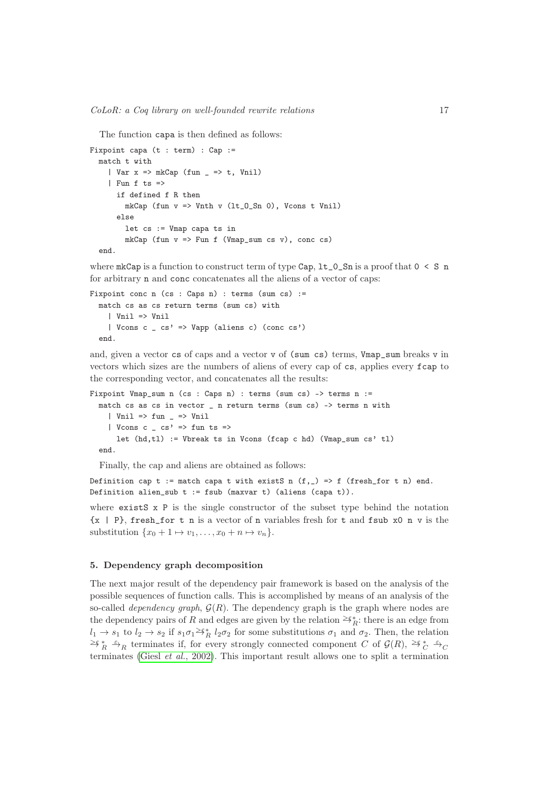The function capa is then defined as follows:

```
Fixpoint capa (t : term) : Cap :=
  match t with
    | Var x \Rightarrow mkCap (fun _ => t, Vnil)
    | Fun f ts =>
      if defined f R then
        mkCap (fun v \implies Vnth v (lt_0_Sn 0), Vcons t Vnil)
      else
        let cs := Vmap capa ts in
        mkCap (fun v => Fun f (Vmap_sum cs v), conc cs)
  end.
```
where  $mkCap$  is a function to construct term of type  $Cap, 1t_0_Sn$  is a proof that  $0 \leq S$  n for arbitrary n and conc concatenates all the aliens of a vector of caps:

```
Fixpoint conc n (cs : Caps n) : terms (sum cs) :=
 match cs as cs return terms (sum cs) with
    | Vnil => Vnil
    | Vcons c _ cs' => Vapp (aliens c) (conc cs')
  end.
```
and, given a vector cs of caps and a vector v of (sum cs) terms, Vmap\_sum breaks v in vectors which sizes are the numbers of aliens of every cap of cs, applies every fcap to the corresponding vector, and concatenates all the results:

Fixpoint Vmap\_sum n (cs : Caps n) : terms (sum cs) -> terms n := match cs as cs in vector \_ n return terms (sum cs) -> terms n with  $|$  Vnil => fun  $=$   $\ge$  Vnil | Vcons c  $\angle$  cs' => fun ts => let (hd,tl) := Vbreak ts in Vcons (fcap c hd) (Vmap\_sum cs' tl) end.

Finally, the cap and aliens are obtained as follows:

Definition cap t := match capa t with existS n  $(f, )$  => f (fresh\_for t n) end. Definition alien\_sub t := fsub (maxvar t) (aliens (capa t)).

where exists  $x \in \mathbb{R}^n$  is the single constructor of the subset type behind the notation  ${x | P}$ , fresh for t n is a vector of n variables fresh for t and fsub x0 n v is the substitution  $\{x_0 + 1 \mapsto v_1, \ldots, x_0 + n \mapsto v_n\}.$ 

#### <span id="page-17-0"></span>5. Dependency graph decomposition

The next major result of the dependency pair framework is based on the analysis of the possible sequences of function calls. This is accomplished by means of an analysis of the so-called *dependency graph*,  $\mathcal{G}(R)$ . The dependency graph is the graph where nodes are the dependency pairs of R and edges are given by the relation  $\geq^*_{R}$ : there is an edge from  $l_1 \to s_1$  to  $l_2 \to s_2$  if  $s_1\sigma_1 \geq \tilde{s}_{R}^* l_2\sigma_2$  for some substitutions  $\sigma_1$  and  $\sigma_2$ . Then, the relation  $\geq^*_{R}$   $\stackrel{\varepsilon}{\rightarrow}_R$  terminates if, for every strongly connected component C of  $\mathcal{G}(R)$ ,  $\geq^*_{C}$   $\stackrel{\varepsilon}{\rightarrow}_C$ terminates (Giesl *et al.*[, 2002\)](#page-29-18). This important result allows one to split a termination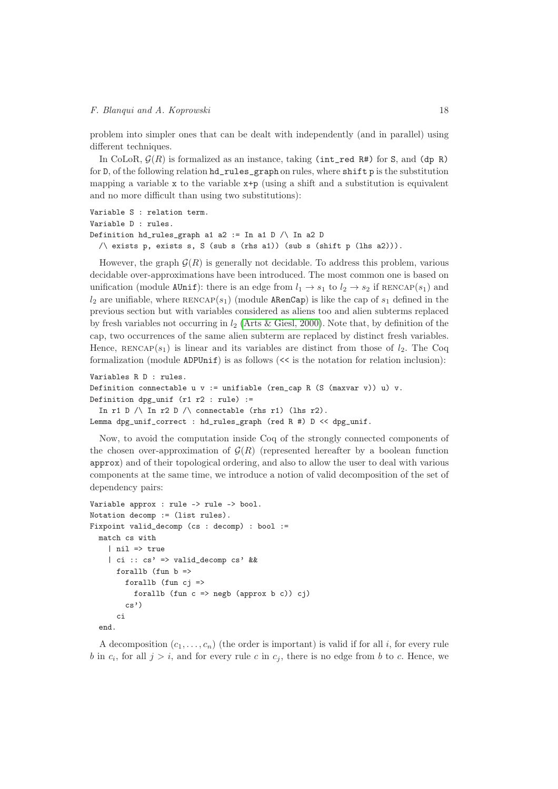problem into simpler ones that can be dealt with independently (and in parallel) using different techniques.

In CoLoR,  $\mathcal{G}(R)$  is formalized as an instance, taking (int\_red R#) for S, and (dp R) for D, of the following relation hd\_rules\_graph on rules, where shift p is the substitution mapping a variable  $x$  to the variable  $x+p$  (using a shift and a substitution is equivalent and no more difficult than using two substitutions):

```
Variable S : relation term.
Variable D : rules.
Definition hd-rules_graph a1 a2 := In a1 D \wedge In a2 D
  \land exists p, exists s, S (sub s (rhs a1)) (sub s (shift p (lhs a2))).
```
However, the graph  $\mathcal{G}(R)$  is generally not decidable. To address this problem, various decidable over-approximations have been introduced. The most common one is based on unification (module AUnif): there is an edge from  $l_1 \rightarrow s_1$  to  $l_2 \rightarrow s_2$  if RENCAP(s<sub>1</sub>) and  $l_2$  are unifiable, where  $RENCAP(s_1)$  (module **ARenCap**) is like the cap of  $s_1$  defined in the previous section but with variables considered as aliens too and alien subterms replaced by fresh variables not occurring in  $l_2$  [\(Arts & Giesl, 2000\)](#page-27-9). Note that, by definition of the cap, two occurrences of the same alien subterm are replaced by distinct fresh variables. Hence,  $RENCAP(s_1)$  is linear and its variables are distinct from those of  $l_2$ . The Coq formalization (module  $ADPUnit$ ) is as follows ( $<<$  is the notation for relation inclusion):

```
Variables R D : rules.
Definition connectable u v := unifiable (ren_cap R (S (maxvar v)) u) v.
Definition dpg_unif (r1 r2 : rule) :=In r1 D \land In r2 D \land connectable (rhs r1) (lhs r2).
Lemma dpg_unif_correct : hd_rules_graph (red R #) D << dpg_unif.
```
Now, to avoid the computation inside Coq of the strongly connected components of the chosen over-approximation of  $\mathcal{G}(R)$  (represented hereafter by a boolean function approx) and of their topological ordering, and also to allow the user to deal with various components at the same time, we introduce a notion of valid decomposition of the set of dependency pairs:

```
Variable approx : rule -> rule -> bool.
Notation decomp := (list rules).
Fixpoint valid_decomp (cs : decomp) : bool :=
 match cs with
    | nil => true
    | ci :: cs' => valid_decomp cs' &&
      forallb (fun b \Rightarrowforallb (fun c_j =>
           forallb (fun c \Rightarrow negb (approx b c)) cj)
        cs')
      ci
  end.
```
A decomposition  $(c_1, \ldots, c_n)$  (the order is important) is valid if for all i, for every rule b in  $c_i$ , for all  $j > i$ , and for every rule c in  $c_j$ , there is no edge from b to c. Hence, we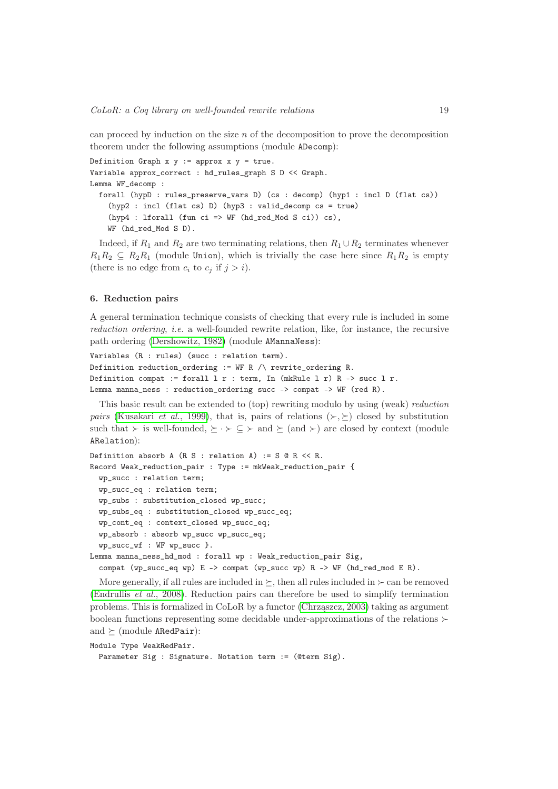can proceed by induction on the size  $n$  of the decomposition to prove the decomposition theorem under the following assumptions (module ADecomp):

```
Definition Graph x y := approx x y = true.
Variable approx_correct : hd_rules_graph S D << Graph.
Lemma WF_decomp :
 forall (hypD : rules_preserve_vars D) (cs : decomp) (hyp1 : incl D (flat cs))
    (hyp2 : incl (flat cs) D) (hyp3 : valid_decomp cs = true)
    (hyp4 : lforall (fun ci => WF (hd_red_Mod S ci)) cs),
    WF (hd_red_Mod S D).
```
Indeed, if  $R_1$  and  $R_2$  are two terminating relations, then  $R_1 \cup R_2$  terminates whenever  $R_1R_2 \subseteq R_2R_1$  (module Union), which is trivially the case here since  $R_1R_2$  is empty (there is no edge from  $c_i$  to  $c_j$  if  $j > i$ ).

#### <span id="page-19-0"></span>6. Reduction pairs

A general termination technique consists of checking that every rule is included in some *reduction ordering*, *i.e.* a well-founded rewrite relation, like, for instance, the recursive path ordering [\(Dershowitz, 1982\)](#page-28-10) (module AMannaNess):

```
Variables (R : rules) (succ : relation term).
Definition reduction_ordering := WF R \land rewrite_ordering R.
Definition compat := forall l r : term, In (mkRule l r) R -> succ l r.
Lemma manna_ness : reduction_ordering succ -> compat -> WF (red R).
```
This basic result can be extended to (top) rewriting modulo by using (weak) *reduction pairs* [\(Kusakari](#page-29-19) *et al.*, 1999), that is, pairs of relations  $(\succ, \succ)$  closed by substitution such that  $\succ$  is well-founded,  $\succeq \cdot \succ \subseteq \succ$  and  $\succeq$  (and  $\succ$ ) are closed by context (module ARelation):

```
Definition absorb A (R S : relation A) := S @ R << R.
Record Weak_reduction_pair : Type := mkWeak_reduction_pair {
 wp_succ : relation term;
 wp_succ_eq : relation term;
 wp_subs : substitution_closed wp_succ;
 wp_subs_eq : substitution_closed wp_succ_eq;
 wp_cont_eq : context_closed wp_succ_eq;
 wp_absorb : absorb wp_succ wp_succ_eq;
  wp_succ_wf : WF wp_succ }.
Lemma manna_ness_hd_mod : forall wp : Weak_reduction_pair Sig,
  compat (wp_succ_eq wp) E -> compat (wp_succ wp) R -> WF (hd_red_mod E R).
```
More generally, if all rules are included in  $\succeq$ , then all rules included in  $\succeq$  can be removed [\(Endrullis](#page-28-22) *et al.*, 2008). Reduction pairs can therefore be used to simplify termination problems. This is formalized in CoLoR by a functor [\(Chrząszcz, 2003\)](#page-28-8) taking as argument boolean functions representing some decidable under-approximations of the relations  $\succ$ and  $\succeq$  (module ARedPair):

```
Module Type WeakRedPair.
```

```
Parameter Sig : Signature. Notation term := (@term Sig).
```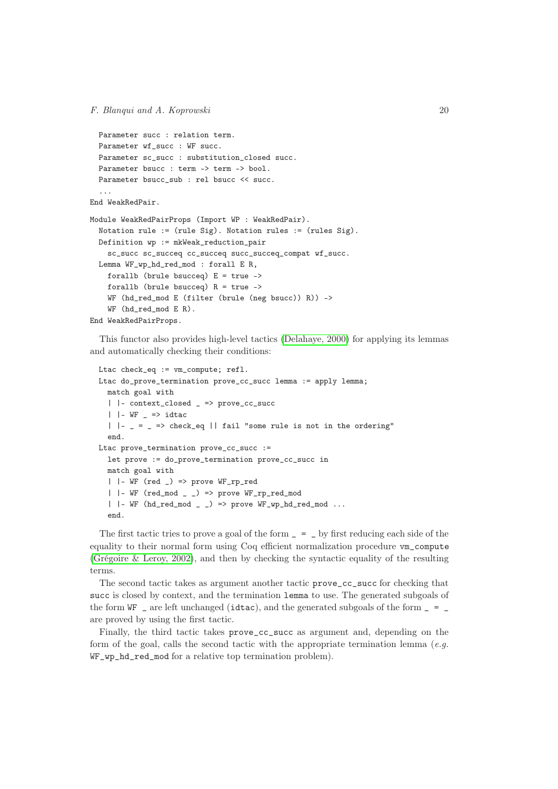```
Parameter succ : relation term.
 Parameter wf_succ : WF succ.
 Parameter sc_succ : substitution_closed succ.
 Parameter bsucc : term -> term -> bool.
 Parameter bsucc_sub : rel bsucc << succ.
  ...
End WeakRedPair.
Module WeakRedPairProps (Import WP : WeakRedPair).
 Notation rule := (rule Sig). Notation rules := (rules Sig).
 Definition wp := mkWeak_reduction_pair
   sc_succ sc_succeq cc_succeq succ_succeq_compat wf_succ.
 Lemma WF_wp_hd_red_mod : forall E R,
   forallb (brule bsucceq) E = true ->
   forallb (brule bsucceq) R = true ->
   WF (hd_red_mod E (filter (brule (neg bsucc)) R)) ->
   WF (hd_red_mod E R).
End WeakRedPairProps.
```
This functor also provides high-level tactics [\(Delahaye, 2000\)](#page-28-7) for applying its lemmas and automatically checking their conditions:

```
Ltac check_eq := vm_compute; refl.
Ltac do_prove_termination prove_cc_succ lemma := apply lemma;
  match goal with
  | |- context_closed _ => prove_cc_succ
  | |- WF - \Rightarrow idtac
  | \cdot | = = = > check_eq || fail "some rule is not in the ordering"
  end.
Ltac prove_termination prove_cc_succ :=
  let prove := do_prove_termination prove_cc_succ in
  match goal with
  | | - WF (red |) => prove WF_rp_red
  | | - WF (red_mod | |) => prove WF_rp_red_mod
  | | - WF (hd_red_mod - -) => prove WF_wp_hd_red_mod ...
  end.
```
The first tactic tries to prove a goal of the form  $=$   $=$   $\alpha$  by first reducing each side of the equality to their normal form using Coq efficient normalization procedure vm\_compute [\(Grégoire & Leroy, 2002\)](#page-29-20), and then by checking the syntactic equality of the resulting terms.

The second tactic takes as argument another tactic prove\_cc\_succ for checking that succ is closed by context, and the termination lemma to use. The generated subgoals of the form  $WF$  – are left unchanged (idtac), and the generated subgoals of the form  $=$  = are proved by using the first tactic.

Finally, the third tactic takes prove\_cc\_succ as argument and, depending on the form of the goal, calls the second tactic with the appropriate termination lemma (*e.g.* WF\_wp\_hd\_red\_mod for a relative top termination problem).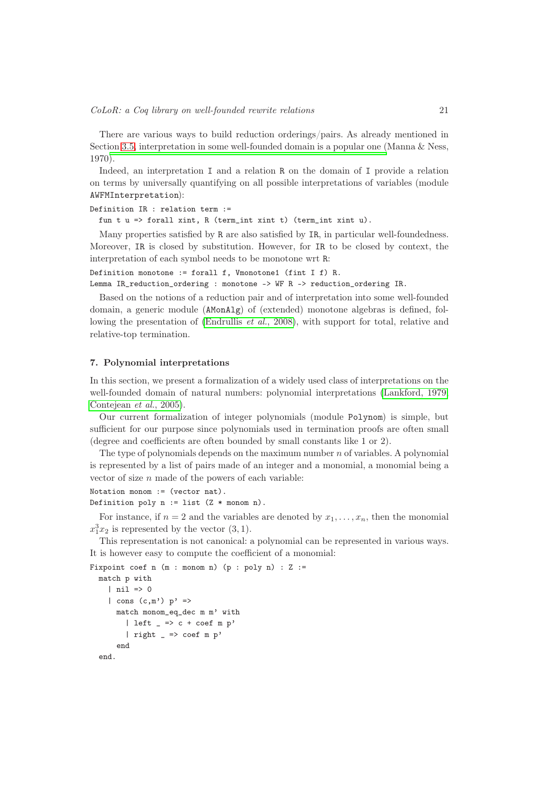There are various ways to build reduction orderings/pairs. As already mentioned in Section [3.5,](#page-12-0) interpretation in some well-founded domain is a popular one (Manna & Ness, 1970).

Indeed, an interpretation I and a relation R on the domain of I provide a relation on terms by universally quantifying on all possible interpretations of variables (module AWFMInterpretation):

```
Definition IR : relation term :=
```
fun t u => forall xint, R (term\_int xint t) (term\_int xint u).

Many properties satisfied by R are also satisfied by IR, in particular well-foundedness. Moreover, IR is closed by substitution. However, for IR to be closed by context, the interpretation of each symbol needs to be monotone wrt R:

```
Definition monotone := forall f, Vmonotone1 (fint I f) R.
```
Lemma IR\_reduction\_ordering : monotone -> WF R -> reduction\_ordering IR.

Based on the notions of a reduction pair and of interpretation into some well-founded domain, a generic module (AMonAlg) of (extended) monotone algebras is defined, fol-lowing the presentation of [\(Endrullis](#page-28-22) *et al.*, 2008), with support for total, relative and relative-top termination.

#### <span id="page-21-0"></span>7. Polynomial interpretations

In this section, we present a formalization of a widely used class of interpretations on the well-founded domain of natural numbers: polynomial interpretations [\(Lankford, 1979;](#page-29-21) [Contejean](#page-28-23) *et al.*, 2005).

Our current formalization of integer polynomials (module Polynom) is simple, but sufficient for our purpose since polynomials used in termination proofs are often small (degree and coefficients are often bounded by small constants like 1 or 2).

The type of polynomials depends on the maximum number  $n$  of variables. A polynomial is represented by a list of pairs made of an integer and a monomial, a monomial being a vector of size  $n$  made of the powers of each variable:

```
Notation monom := (vector nat).
Definition poly n := list (Z * monom n).
```
For instance, if  $n = 2$  and the variables are denoted by  $x_1, \ldots, x_n$ , then the monomial  $x_1^3x_2$  is represented by the vector  $(3, 1)$ .

This representation is not canonical: a polynomial can be represented in various ways. It is however easy to compute the coefficient of a monomial:

```
Fixpoint coef n (m : monom n) (p : poly n) : Z :=
  match p with
    | nil \Rightarrow 0
    | cons (c,m') p' =>
      match monom_eq_dec m m' with
        | left = \ge c + coef m p'| right = > coef m p'
      end
  end.
```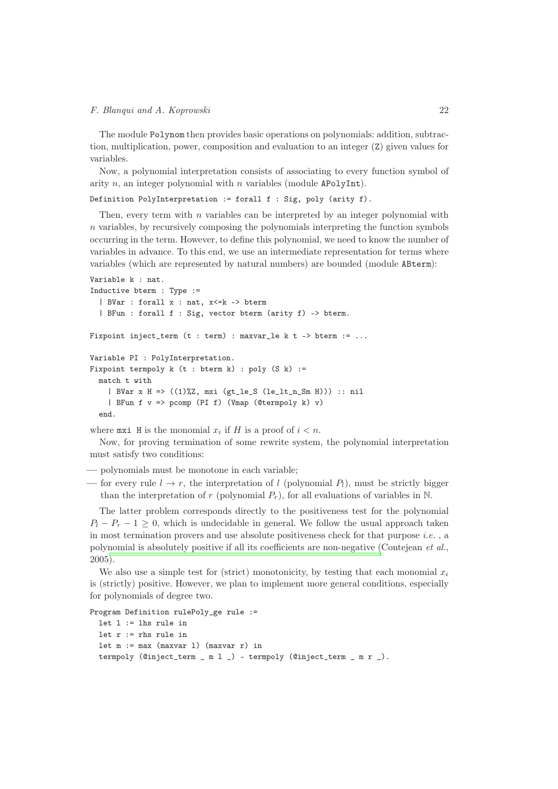The module Polynom then provides basic operations on polynomials: addition, subtraction, multiplication, power, composition and evaluation to an integer (Z) given values for variables.

Now, a polynomial interpretation consists of associating to every function symbol of arity  $n$ , an integer polynomial with  $n$  variables (module APolyInt).

Definition PolyInterpretation := forall f : Sig, poly (arity f).

Then, every term with  $n$  variables can be interpreted by an integer polynomial with  $n$  variables, by recursively composing the polynomials interpreting the function symbols occurring in the term. However, to define this polynomial, we need to know the number of variables in advance. To this end, we use an intermediate representation for terms where variables (which are represented by natural numbers) are bounded (module ABterm):

```
Variable k : nat.
Inductive bterm : Type :=
  | BVar : forall x : nat, x<=k -> bterm
  | BFun : forall f : Sig, vector bterm (arity f) -> bterm.
Fixpoint inject_term (t : term) : maxvar_le k t -> bterm := ...
Variable PI : PolyInterpretation.
Fixpoint termpoly k (t : bterm k) : poly (S k) :=
 match t with
    | BVar x H => ((1)%Z, mxi (gt_le_S (le_lt_n_Sm H))) :: nil
    | BFun f v => pcomp (PI f) (Vmap (@termpoly k) v)
  end.
```
where  $\text{maxi}$  H is the monomial  $x_i$  if H is a proof of  $i < n$ .

Now, for proving termination of some rewrite system, the polynomial interpretation must satisfy two conditions:

— polynomials must be monotone in each variable;

— for every rule  $l \to r$ , the interpretation of l (polynomial  $P_l$ ), must be strictly bigger than the interpretation of r (polynomial  $P_r$ ), for all evaluations of variables in N.

The latter problem corresponds directly to the positiveness test for the polynomial  $P_l - P_r - 1 \geq 0$ , which is undecidable in general. We follow the usual approach taken in most termination provers and use absolute positiveness check for that purpose *i.e.* , a polynomial is absolutely positive if all its coefficients are non-negative (Contejean *et al.*, 2005[\).](#page-28-23)

We also use a simple test for (strict) monotonicity, by testing that each monomial  $x_i$ is (strictly) positive. However, we plan to implement more general conditions, especially for polynomials of degree two.

```
Program Definition rulePoly_ge rule :=
 let l := lhs rule in
 let r := rhs rule in
 let m := max (maxvar l) (maxvar r) in
  termpoly (@inject_term _ m l _) - termpoly (@inject_term _ m r _).
```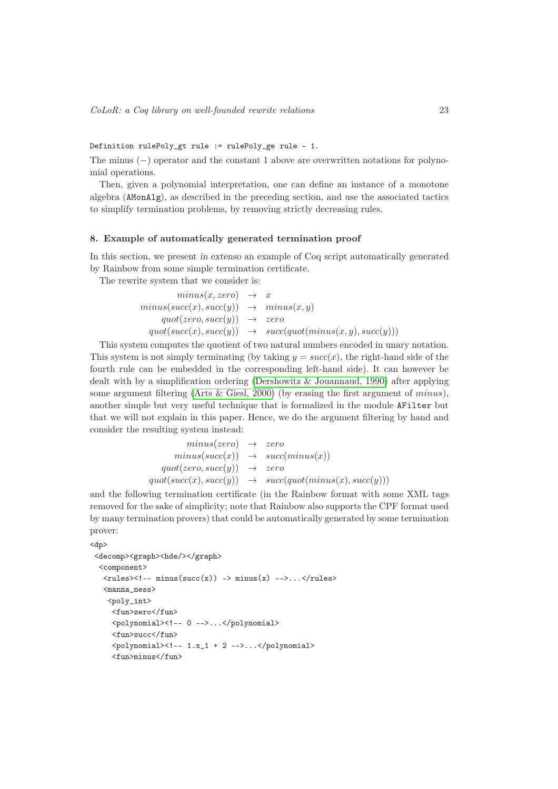Definition rulePoly\_gt rule := rulePoly\_ge rule - 1.

The minus (−) operator and the constant 1 above are overwritten notations for polynomial operations.

Then, given a polynomial interpretation, one can define an instance of a monotone algebra (AMonAlg), as described in the preceding section, and use the associated tactics to simplify termination problems, by removing strictly decreasing rules.

#### <span id="page-23-0"></span>8. Example of automatically generated termination proof

In this section, we present in extenso an example of Coq script automatically generated by Rainbow from some simple termination certificate.

The rewrite system that we consider is:

 $minus(x, zero) \rightarrow x$  $minus(succ(x), succ(y)) \rightarrow minus(x, y)$  $quot(zero, succ(y)) \rightarrow zero$  $quot(succ(x), succ(y)) \rightarrow succ(quot(minus(x, y), succ(y)))$ 

This system computes the quotient of two natural numbers encoded in unary notation. This system is not simply terminating (by taking  $y = succ(x)$ , the right-hand side of the fourth rule can be embedded in the corresponding left-hand side). It can however be dealt with by a simplification ordering [\(Dershowitz & Jouannaud, 1990\)](#page-28-24) after applying some argument filtering [\(Arts & Giesl, 2000\)](#page-27-9) (by erasing the first argument of  $minus$ ), another simple but very useful technique that is formalized in the module AFilter but that we will not explain in this paper. Hence, we do the argument filtering by hand and consider the resulting system instead:

$$
\begin{array}{rcl}\nminus(zero) & \rightarrow & zero \\
minus(succ(x)) & \rightarrow & succ(minus(x)) \\
quot(zero, succ(y)) & \rightarrow & zero \\
quot(succ(x), succ(y)) & \rightarrow & succ(quot(minus(x), succ(y)))\n\end{array}
$$

and the following termination certificate (in the Rainbow format with some XML tags removed for the sake of simplicity; note that Rainbow also supports the CPF format used by many termination provers) that could be automatically generated by some termination prover:

```
<dp>
<decomp><graph><hde/></graph>
  <component>
   \langle \text{rules} \rangle \langle!-- minus(succ(x)) -> minus(x) -->...\langle \text{rules} \rangle<manna_ness>
    <poly_int>
      <fun>zero</fun>
      <polynomial><!-- 0 -->...</polynomial>
      <fun>succ</fun>
      <polynomial><!-- 1.x_1 + 2 -->...</polynomial>
      <fun>minus</fun>
```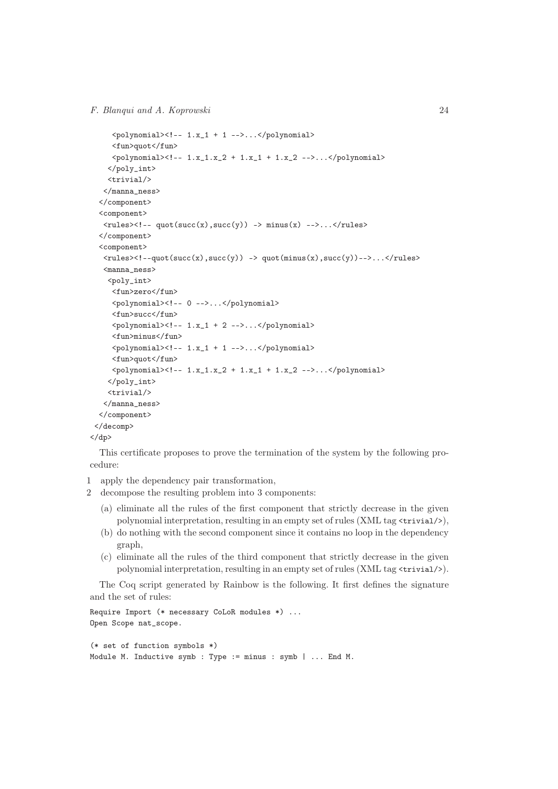```
\langlepolynomial><!-- 1.x_1 + 1 -->...\langle/polynomial>
      <fun>quot</fun>
      \{polynomial \geq -1.x_1.x_2 + 1.x_1 + 1.x_2 - - \cdots\}</poly_int>
     <trivial/>
   </manna_ness>
  </component>
  <component>
   \langle \text{rules} \rangle \langle!-- quot(succ(x),succ(y)) -> minus(x) -->...\langle \text{rules} \rangle</component>
  <component>
    \langle \text{rules} \rangle \langle \cdot | - \text{quot}(\text{succ}(x), \text{succ}(y)) \rangle -> \text{quot}(\text{minus}(x), \text{succ}(y))-->...\langle \text{rules} \rangle<manna_ness>
     <poly_int>
      <fun>zero</fun>
      <polynomial><!-- 0 -->...</polynomial>
      <fun>succ</fun>
      \langlepolynomial><!-- 1.x_1 + 2 -->...\langle/polynomial>
      <fun>minus</fun>
      \langlepolynomial><!-- 1.x_1 + 1 -->...\langle/polynomial>
      <fun>quot</fun>
      \{polynomial \geq -1.x_1.x_2 + 1.x_1 + 1.x_2 - - \ldots \leq \text{polynomial}\}</poly_int>
     <trivial/>
    </manna_ness>
  </component>
 </decomp>
\langle dp>
```
This certificate proposes to prove the termination of the system by the following procedure:

- 1 apply the dependency pair transformation,
- 2 decompose the resulting problem into 3 components:
	- (a) eliminate all the rules of the first component that strictly decrease in the given polynomial interpretation, resulting in an empty set of rules  $(XML tag \text{'trivial/>})$ ,
	- (b) do nothing with the second component since it contains no loop in the dependency graph,
	- (c) eliminate all the rules of the third component that strictly decrease in the given polynomial interpretation, resulting in an empty set of rules (XML tag <trivial/>).

The Coq script generated by Rainbow is the following. It first defines the signature and the set of rules:

```
Require Import (* necessary CoLoR modules *) ...
Open Scope nat_scope.
(* set of function symbols *)
Module M. Inductive symb : Type := minus : symb | ... End M.
```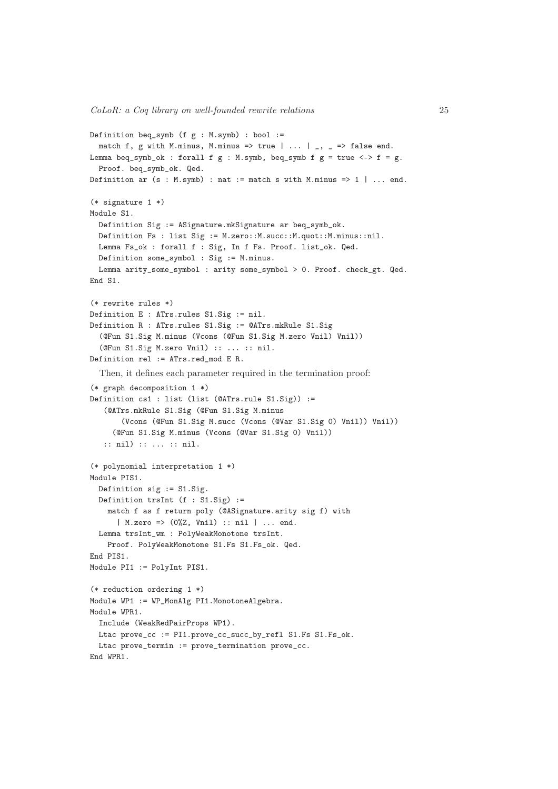```
Definition beq_symb (f g : M.symb) : bool :=
 match f, g with M.minus, M.minus => true | ... | \Box, \Box => false end.
Lemma beq_symb_ok : forall f g : M.symb, beq_symb f g = true \iff f = g.
 Proof. beq_symb_ok. Qed.
Definition ar (s : M.symb) : nat := match s with M.minus => 1 | ... end.
(* signature 1 *)
Module S1.
  Definition Sig := ASignature.mkSignature ar beq_symb_ok.
  Definition Fs : list Sig := M.zero::M.succ::M.quot::M.minus::nil.
  Lemma Fs_ok : forall f : Sig, In f Fs. Proof. list_ok. Qed.
  Definition some_symbol : Sig := M.minus.
  Lemma arity_some_symbol : arity some_symbol > 0. Proof. check_gt. Qed.
End S1.
(* rewrite rules *)
Definition E : ATrs.rules S1.Sig := nil.
Definition R : ATrs.rules S1.Sig := @ATrs.mkRule S1.Sig
  (@Fun S1.Sig M.minus (Vcons (@Fun S1.Sig M.zero Vnil) Vnil))
  (@Fun S1.Sig M.zero Vnil) :: ... :: nil.
Definition rel := ATrs.red_mod E R.
  Then, it defines each parameter required in the termination proof:
(* graph decomposition 1 *)
Definition cs1 : list (list (@ATrs.rule S1.Sig)) :=
   (@ATrs.mkRule S1.Sig (@Fun S1.Sig M.minus
       (Vcons (@Fun S1.Sig M.succ (Vcons (@Var S1.Sig 0) Vnil)) Vnil))
     (@Fun S1.Sig M.minus (Vcons (@Var S1.Sig 0) Vnil))
   :: nil) :: ... :: nil.
(* polynomial interpretation 1 *)
Module PIS1.
  Definition sig := S1.Sig.
  Definition trsInt (f : S1.Sig) :=match f as f return poly (@ASignature.arity sig f) with
      | M.zero => (0%Z, Vnil) :: nil | ... end.
  Lemma trsInt_wm : PolyWeakMonotone trsInt.
    Proof. PolyWeakMonotone S1.Fs S1.Fs_ok. Qed.
End PIS1.
Module PI1 := PolyInt PIS1.
(* reduction ordering 1 *)
Module WP1 := WP_MonAlg PI1.MonotoneAlgebra.
Module WPR1.
 Include (WeakRedPairProps WP1).
 Ltac prove_cc := PI1.prove_cc_succ_by_refl S1.Fs S1.Fs_ok.
 Ltac prove_termin := prove_termination prove_cc.
End WPR1.
```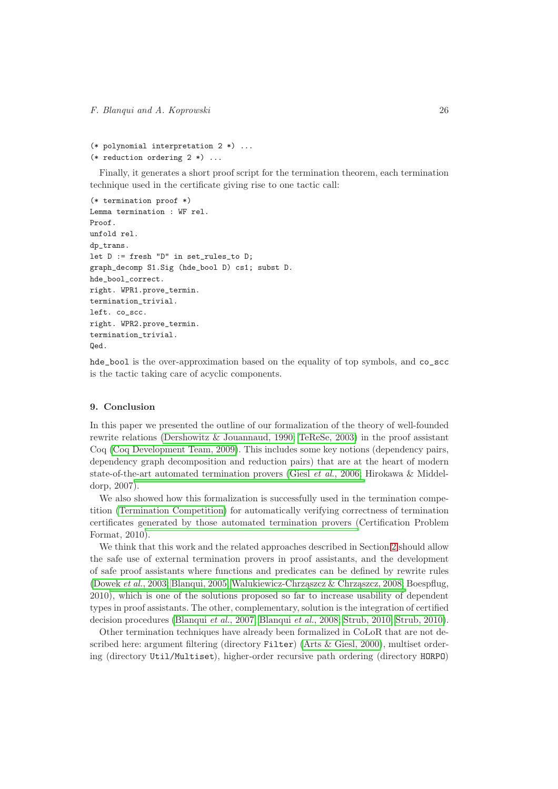```
(* polynomial interpretation 2 *) ...
(* reduction ordering 2 *) ...
```
Finally, it generates a short proof script for the termination theorem, each termination technique used in the certificate giving rise to one tactic call:

```
(* termination proof *)
Lemma termination : WF rel.
Proof.
unfold rel.
dp_trans.
let D := fresh "D" in set_rules_to D;
graph_decomp S1.Sig (hde_bool D) cs1; subst D.
hde_bool_correct.
right. WPR1.prove_termin.
termination_trivial.
left. co_scc.
right. WPR2.prove_termin.
termination_trivial.
Qed.
```
hde\_bool is the over-approximation based on the equality of top symbols, and co\_scc is the tactic taking care of acyclic components.

#### <span id="page-26-0"></span>9. Conclusion

In this paper we presented the outline of our formalization of the theory of well-founded rewrite relations [\(Dershowitz & Jouannaud, 1990;](#page-28-24) [TeReSe, 2003\)](#page-30-0) in the proof assistant Coq [\(Coq Development Team, 2009\)](#page-28-6). This includes some key notions (dependency pairs, dependency graph decomposition and reduction pairs) that are at the heart of modern state-of-the-art automated termination provers (Giesl *et al.*[, 2006;](#page-29-15) Hirokawa & Middeldorp, 2007).

We also showed how this formalization is successfully used in the termination competition [\(Termination Competition\)](#page-30-7) for automatically verifying correctness of termination certificates generated by those automated termination provers (Certification Problem Format, 2010).

We think that this work and the related approaches described in Section [2](#page-6-0) should allow the safe use of external termination provers in proof assistants, and the development of safe proof assistants where functions and predicates can be defined by rewrite rules [\(Dowek](#page-28-3) *et al.*, 2003; [Blanqui, 2005;](#page-27-1) [Walukiewicz-Chrząszcz & Chrząszcz,](#page-30-4) 2008; Boespflug, 2010), which is one of the solutions proposed so far to increase usability of dependent types in proof assistants. The other, complementary, solution is the integration of certified decision procedures [\(Blanqui](#page-27-12) *et al.*, 2007; [Blanqui](#page-28-15) *et al.*, 2008; [Strub, 2010;](#page-30-12) [Strub, 2010\)](#page-30-13).

Other termination techniques have already been formalized in CoLoR that are not described here: argument filtering (directory Filter) [\(Arts & Giesl, 2000\)](#page-27-9), multiset ordering (directory Util/Multiset), higher-order recursive path ordering (directory HORPO)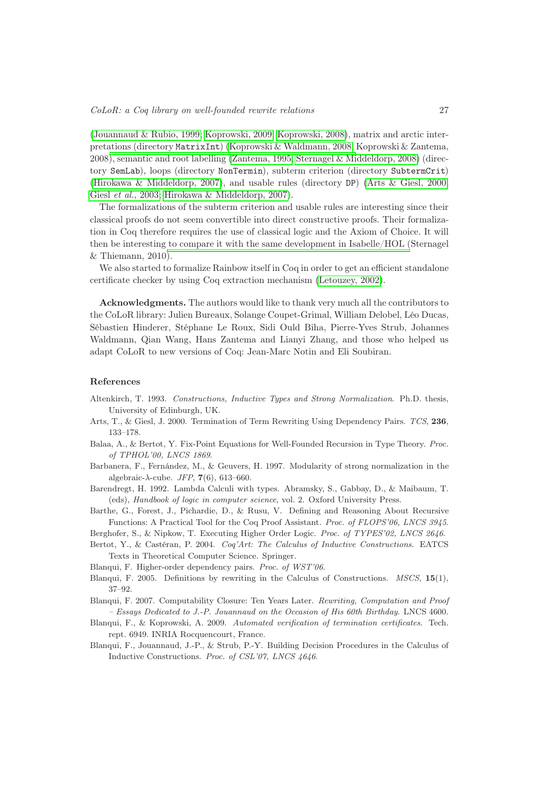[\(Jouannaud & Rubio, 1999;](#page-29-17) [Koprowski, 2009;](#page-29-6) [Koprowski, 2008\)](#page-29-3), matrix and arctic interpretations (directory MatrixInt) [\(Koprowski & Waldmann, 2008;](#page-29-8) Koprowski & Zantema, 2008), semantic and root labelling [\(Zantema, 1995;](#page-30-26) [Sternagel & Middeldorp, 2008\)](#page-30-27) (directory SemLab), loops (directory NonTermin), subterm criterion (directory SubtermCrit) [\(Hirokawa & Middeldorp, 2007\)](#page-29-22), and usable rules (directory DP) [\(Arts & Giesl, 2000;](#page-27-9) Giesl *et al.*[, 2003;](#page-29-23) [Hirokawa & Middeldorp, 2007\)](#page-29-22).

The formalizations of the subterm criterion and usable rules are interesting since their classical proofs do not seem convertible into direct constructive proofs. Their formalization in Coq therefore requires the use of classical logic and the Axiom of Choice. It will then be interesting to compare it with the same development in Isabelle/HOL (Sternagel & Thiemann, 2010[\).](#page-30-18)

We also started to formalize Rainbow itself in Coq in order to get an efficient standalone certificate checker by using Coq extraction mechanism [\(Letouzey, 2002\)](#page-30-11).

Acknowledgments. The authors would like to thank very much all the contributors to the CoLoR library: Julien Bureaux, Solange Coupet-Grimal, William Delobel, Léo Ducas, Sébastien Hinderer, Stéphane Le Roux, Sidi Ould Biha, Pierre-Yves Strub, Johannes Waldmann, Qian Wang, Hans Zantema and Lianyi Zhang, and those who helped us adapt CoLoR to new versions of Coq: Jean-Marc Notin and Eli Soubiran.

#### References

- <span id="page-27-2"></span>Altenkirch, T. 1993. Constructions, Inductive Types and Strong Normalization. Ph.D. thesis, University of Edinburgh, UK.
- <span id="page-27-9"></span>Arts, T., & Giesl, J. 2000. Termination of Term Rewriting Using Dependency Pairs. TCS, 236, 133–178.
- <span id="page-27-7"></span>Balaa, A., & Bertot, Y. Fix-Point Equations for Well-Founded Recursion in Type Theory. Proc. of TPHOL'00, LNCS 1869.
- <span id="page-27-0"></span>Barbanera, F., Fernández, M., & Geuvers, H. 1997. Modularity of strong normalization in the algebraic- $\lambda$ -cube. *JFP*, 7(6), 613–660.
- <span id="page-27-3"></span>Barendregt, H. 1992. Lambda Calculi with types. Abramsky, S., Gabbay, D., & Maibaum, T. (eds), Handbook of logic in computer science, vol. 2. Oxford University Press.
- <span id="page-27-8"></span>Barthe, G., Forest, J., Pichardie, D., & Rusu, V. Defining and Reasoning About Recursive Functions: A Practical Tool for the Coq Proof Assistant. Proc. of FLOPS'06, LNCS 3945.
- <span id="page-27-6"></span>Berghofer, S., & Nipkow, T. Executing Higher Order Logic. Proc. of TYPES'02, LNCS 2646.
- <span id="page-27-4"></span>Bertot, Y., & Castéran, P. 2004. Coq'Art: The Calculus of Inductive Constructions. EATCS Texts in Theoretical Computer Science. Springer.
- <span id="page-27-10"></span>Blanqui, F. Higher-order dependency pairs. Proc. of WST'06.
- <span id="page-27-1"></span>Blanqui, F. 2005. Definitions by rewriting in the Calculus of Constructions. MSCS, 15(1), 37–92.
- <span id="page-27-11"></span>Blanqui, F. 2007. Computability Closure: Ten Years Later. Rewriting, Computation and Proof – Essays Dedicated to J.-P. Jouannaud on the Occasion of His 60th Birthday. LNCS 4600.
- <span id="page-27-5"></span>Blanqui, F., & Koprowski, A. 2009. Automated verification of termination certificates. Tech. rept. 6949. INRIA Rocquencourt, France.
- <span id="page-27-12"></span>Blanqui, F., Jouannaud, J.-P., & Strub, P.-Y. Building Decision Procedures in the Calculus of Inductive Constructions. Proc. of CSL'07, LNCS 4646.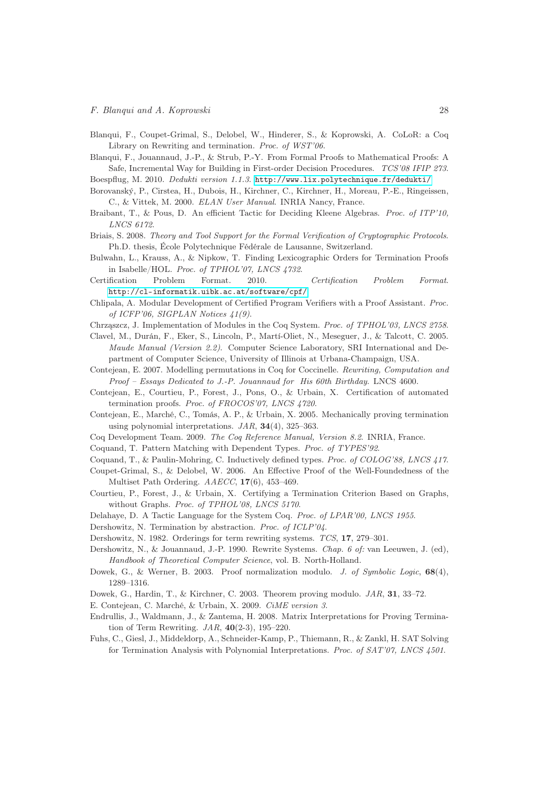- <span id="page-28-16"></span>Blanqui, F., Coupet-Grimal, S., Delobel, W., Hinderer, S., & Koprowski, A. CoLoR: a Coq Library on Rewriting and termination. Proc. of WST'06.
- <span id="page-28-15"></span>Blanqui, F., Jouannaud, J.-P., & Strub, P.-Y. From Formal Proofs to Mathematical Proofs: A Safe, Incremental Way for Building in First-order Decision Procedures. TCS'08 IFIP 273.

Boespflug, M. 2010. Dedukti version 1.1.3. <http://www.lix.polytechnique.fr/dedukti/>

- <span id="page-28-0"></span>Borovanský, P., Cirstea, H., Dubois, H., Kirchner, C., Kirchner, H., Moreau, P.-E., Ringeissen, C., & Vittek, M. 2000. ELAN User Manual. INRIA Nancy, France.
- <span id="page-28-14"></span>Braibant, T., & Pous, D. An efficient Tactic for Deciding Kleene Algebras. Proc. of ITP'10, LNCS 6172.
- <span id="page-28-12"></span>Briais, S. 2008. Theory and Tool Support for the Formal Verification of Cryptographic Protocols. Ph.D. thesis, École Polytechnique Fédérale de Lausanne, Switzerland.
- <span id="page-28-20"></span>Bulwahn, L., Krauss, A., & Nipkow, T. Finding Lexicographic Orders for Termination Proofs in Isabelle/HOL. Proc. of TPHOL'07, LNCS 4732.
- <span id="page-28-11"></span>Certification Problem Format. 2010. Certification Problem Format. <http://cl-informatik.uibk.ac.at/software/cpf/>
- <span id="page-28-13"></span>Chlipala, A. Modular Development of Certified Program Verifiers with a Proof Assistant. Proc. of ICFP'06, SIGPLAN Notices 41(9).
- <span id="page-28-8"></span>Chrząszcz, J. Implementation of Modules in the Coq System. Proc. of TPHOL'03, LNCS 2758.
- <span id="page-28-1"></span>Clavel, M., Durán, F., Eker, S., Lincoln, P., Martí-Oliet, N., Meseguer, J., & Talcott, C. 2005. Maude Manual (Version 2.2). Computer Science Laboratory, SRI International and Department of Computer Science, University of Illinois at Urbana-Champaign, USA.
- Contejean, E. 2007. Modelling permutations in Coq for Coccinelle. Rewriting, Computation and Proof – Essays Dedicated to J.-P. Jouannaud for His 60th Birthday. LNCS 4600.
- <span id="page-28-18"></span>Contejean, E., Courtieu, P., Forest, J., Pons, O., & Urbain, X. Certification of automated termination proofs. Proc. of FROCOS'07, LNCS 4720.
- <span id="page-28-23"></span>Contejean, E., Marché, C., Tomás, A. P., & Urbain, X. 2005. Mechanically proving termination using polynomial interpretations.  $JAR$ ,  $34(4)$ ,  $325-363$ .
- <span id="page-28-6"></span>Coq Development Team. 2009. The Coq Reference Manual, Version 8.2. INRIA, France.
- <span id="page-28-2"></span>Coquand, T. Pattern Matching with Dependent Types. Proc. of TYPES'92.
- <span id="page-28-4"></span>Coquand, T., & Paulin-Mohring, C. Inductively defined types. Proc. of COLOG'88, LNCS 417.
- <span id="page-28-17"></span>Coupet-Grimal, S., & Delobel, W. 2006. An Effective Proof of the Well-Foundedness of the Multiset Path Ordering. AAECC, 17(6), 453–469.
- <span id="page-28-19"></span>Courtieu, P., Forest, J., & Urbain, X. Certifying a Termination Criterion Based on Graphs, without Graphs. Proc. of TPHOL'08, LNCS 5170.
- <span id="page-28-7"></span>Delahaye, D. A Tactic Language for the System Coq. Proc. of LPAR'00, LNCS 1955.
- <span id="page-28-21"></span>Dershowitz, N. Termination by abstraction. Proc. of ICLP'04.
- <span id="page-28-10"></span>Dershowitz, N. 1982. Orderings for term rewriting systems. TCS, 17, 279–301.
- <span id="page-28-24"></span>Dershowitz, N., & Jouannaud, J.-P. 1990. Rewrite Systems. Chap. 6 of: van Leeuwen, J. (ed), Handbook of Theoretical Computer Science, vol. B. North-Holland.
- <span id="page-28-5"></span>Dowek, G., & Werner, B. 2003. Proof normalization modulo. J. of Symbolic Logic, 68(4), 1289–1316.
- <span id="page-28-3"></span>Dowek, G., Hardin, T., & Kirchner, C. 2003. Theorem proving modulo. JAR, 31, 33–72.
- E. Contejean, C. Marché, & Urbain, X. 2009. CiME version 3.
- <span id="page-28-22"></span>Endrullis, J., Waldmann, J., & Zantema, H. 2008. Matrix Interpretations for Proving Termination of Term Rewriting.  $JAR$ ,  $40(2-3)$ , 195–220.
- <span id="page-28-9"></span>Fuhs, C., Giesl, J., Middeldorp, A., Schneider-Kamp, P., Thiemann, R., & Zankl, H. SAT Solving for Termination Analysis with Polynomial Interpretations. Proc. of SAT'07, LNCS 4501.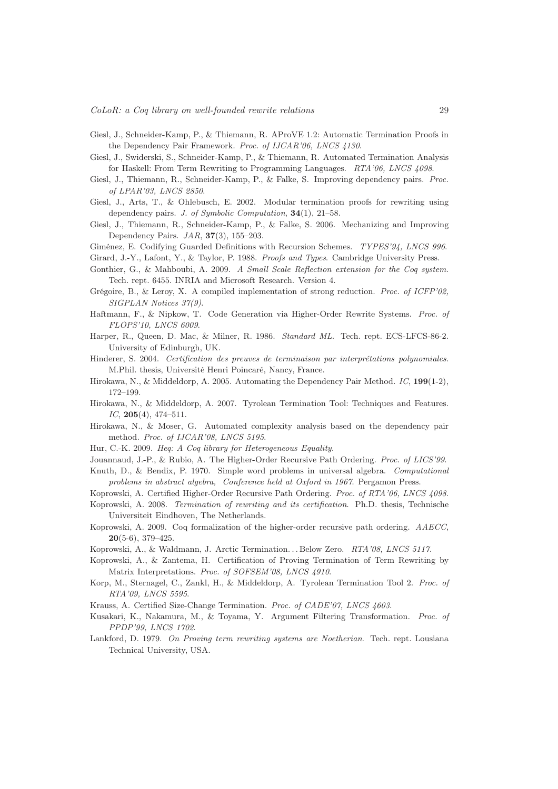- <span id="page-29-2"></span>Giesl, J., Schneider-Kamp, P., & Thiemann, R. AProVE 1.2: Automatic Termination Proofs in the Dependency Pair Framework. Proc. of IJCAR'06, LNCS 4130.
- <span id="page-29-0"></span>Giesl, J., Swiderski, S., Schneider-Kamp, P., & Thiemann, R. Automated Termination Analysis for Haskell: From Term Rewriting to Programming Languages. RTA'06, LNCS 4098.
- <span id="page-29-23"></span>Giesl, J., Thiemann, R., Schneider-Kamp, P., & Falke, S. Improving dependency pairs. Proc. of LPAR'03, LNCS 2850.
- <span id="page-29-18"></span>Giesl, J., Arts, T., & Ohlebusch, E. 2002. Modular termination proofs for rewriting using dependency pairs. *J. of Symbolic Computation*, **34**(1), 21–58.
- <span id="page-29-15"></span>Giesl, J., Thiemann, R., Schneider-Kamp, P., & Falke, S. 2006. Mechanizing and Improving Dependency Pairs.  $JAR$ ,  $37(3)$ ,  $155-203$ .
- Giménez, E. Codifying Guarded Definitions with Recursion Schemes. TYPES'94, LNCS 996.

<span id="page-29-16"></span>Girard, J.-Y., Lafont, Y., & Taylor, P. 1988. Proofs and Types. Cambridge University Press.

- <span id="page-29-13"></span>Gonthier, G., & Mahboubi, A. 2009. A Small Scale Reflection extension for the Coq system. Tech. rept. 6455. INRIA and Microsoft Research. Version 4.
- <span id="page-29-20"></span>Grégoire, B., & Leroy, X. A compiled implementation of strong reduction. Proc. of ICFP'02, SIGPLAN Notices 37(9).
- <span id="page-29-9"></span>Haftmann, F., & Nipkow, T. Code Generation via Higher-Order Rewrite Systems. Proc. of FLOPS'10, LNCS 6009.
- <span id="page-29-11"></span>Harper, R., Queen, D. Mac, & Milner, R. 1986. Standard ML. Tech. rept. ECS-LFCS-86-2. University of Edinburgh, UK.
- <span id="page-29-4"></span>Hinderer, S. 2004. Certification des preuves de terminaison par interprétations polynomiales. M.Phil. thesis, Université Henri Poincaré, Nancy, France.
- Hirokawa, N., & Middeldorp, A. 2005. Automating the Dependency Pair Method. IC, 199(1-2), 172–199.
- <span id="page-29-22"></span>Hirokawa, N., & Middeldorp, A. 2007. Tyrolean Termination Tool: Techniques and Features.  $IC, 205(4), 474-511.$
- Hirokawa, N., & Moser, G. Automated complexity analysis based on the dependency pair method. Proc. of IJCAR'08, LNCS 5195.
- <span id="page-29-14"></span>Hur, C.-K. 2009. Heq: A Coq library for Heterogeneous Equality.
- <span id="page-29-17"></span>Jouannaud, J.-P., & Rubio, A. The Higher-Order Recursive Path Ordering. Proc. of LICS'99.
- <span id="page-29-1"></span>Knuth, D., & Bendix, P. 1970. Simple word problems in universal algebra. Computational problems in abstract algebra, Conference held at Oxford in 1967. Pergamon Press.
- <span id="page-29-5"></span>Koprowski, A. Certified Higher-Order Recursive Path Ordering. Proc. of RTA'06, LNCS 4098.
- <span id="page-29-3"></span>Koprowski, A. 2008. Termination of rewriting and its certification. Ph.D. thesis, Technische Universiteit Eindhoven, The Netherlands.
- <span id="page-29-6"></span>Koprowski, A. 2009. Coq formalization of the higher-order recursive path ordering. AAECC,  $20(5-6), 379-425.$
- <span id="page-29-8"></span>Koprowski, A., & Waldmann, J. Arctic Termination. . . Below Zero. RTA'08, LNCS 5117.
- <span id="page-29-7"></span>Koprowski, A., & Zantema, H. Certification of Proving Termination of Term Rewriting by Matrix Interpretations. Proc. of SOFSEM'08, LNCS 4910.
- <span id="page-29-10"></span>Korp, M., Sternagel, C., Zankl, H., & Middeldorp, A. Tyrolean Termination Tool 2. Proc. of RTA'09, LNCS 5595.
- <span id="page-29-12"></span>Krauss, A. Certified Size-Change Termination. Proc. of CADE'07, LNCS 4603.
- <span id="page-29-19"></span>Kusakari, K., Nakamura, M., & Toyama, Y. Argument Filtering Transformation. Proc. of PPDP'99, LNCS 1702.
- <span id="page-29-21"></span>Lankford, D. 1979. On Proving term rewriting systems are Noetherian. Tech. rept. Lousiana Technical University, USA.